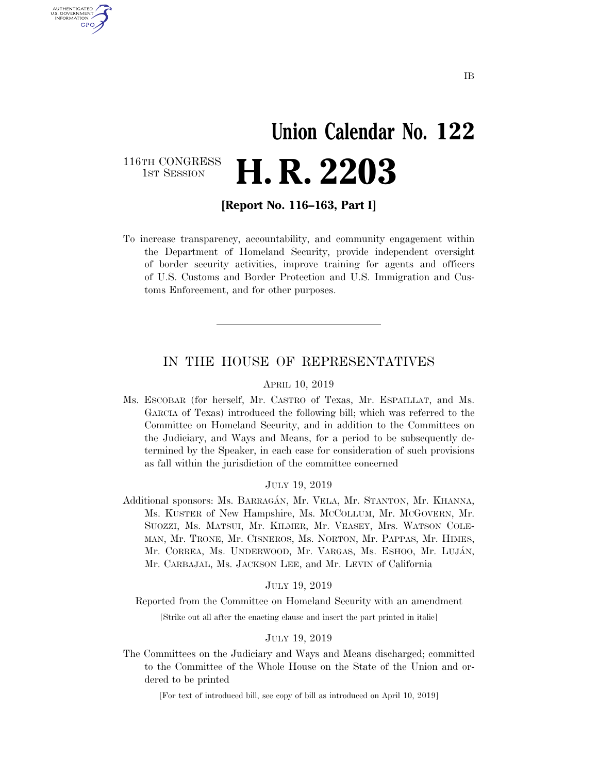## **Union Calendar No. 122**  116TH CONGRESS<br>1st Session H. R. 2203

**[Report No. 116–163, Part I]** 

U.S. GOVERNMENT GPO

> To increase transparency, accountability, and community engagement within the Department of Homeland Security, provide independent oversight of border security activities, improve training for agents and officers of U.S. Customs and Border Protection and U.S. Immigration and Customs Enforcement, and for other purposes.

#### IN THE HOUSE OF REPRESENTATIVES

#### APRIL 10, 2019

Ms. ESCOBAR (for herself, Mr. CASTRO of Texas, Mr. ESPAILLAT, and Ms. GARCIA of Texas) introduced the following bill; which was referred to the Committee on Homeland Security, and in addition to the Committees on the Judiciary, and Ways and Means, for a period to be subsequently determined by the Speaker, in each case for consideration of such provisions as fall within the jurisdiction of the committee concerned

#### JULY 19, 2019

Additional sponsors: Ms. BARRAGÁN, Mr. VELA, Mr. STANTON, Mr. KHANNA, Ms. KUSTER of New Hampshire, Ms. MCCOLLUM, Mr. MCGOVERN, Mr. SUOZZI, Ms. MATSUI, Mr. KILMER, Mr. VEASEY, Mrs. WATSON COLE-MAN, Mr. TRONE, Mr. CISNEROS, Ms. NORTON, Mr. PAPPAS, Mr. HIMES, Mr. CORREA, Ms. UNDERWOOD, Mr. VARGAS, Ms. ESHOO, Mr. LUJA´N, Mr. CARBAJAL, Ms. JACKSON LEE, and Mr. LEVIN of California

#### JULY 19, 2019

Reported from the Committee on Homeland Security with an amendment

[Strike out all after the enacting clause and insert the part printed in italic]

#### JULY 19, 2019

The Committees on the Judiciary and Ways and Means discharged; committed to the Committee of the Whole House on the State of the Union and ordered to be printed

[For text of introduced bill, see copy of bill as introduced on April 10, 2019]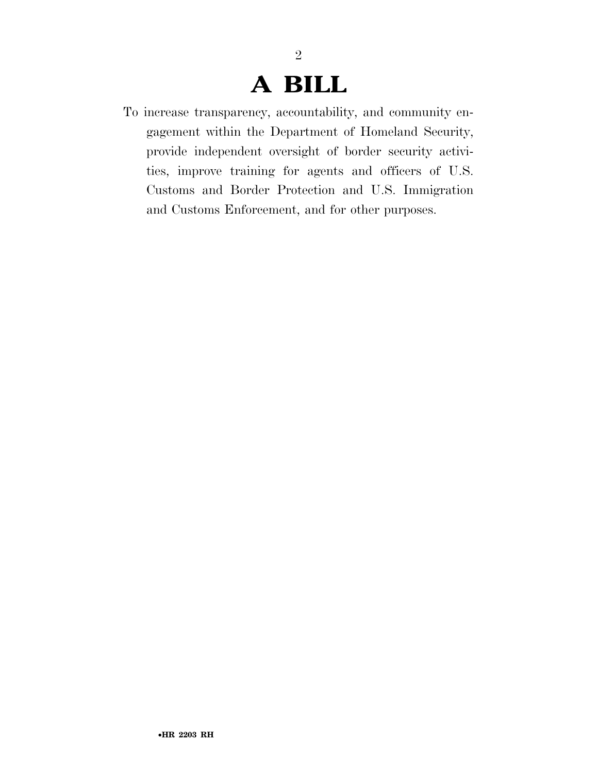## **A BILL**

2

To increase transparency, accountability, and community engagement within the Department of Homeland Security, provide independent oversight of border security activities, improve training for agents and officers of U.S. Customs and Border Protection and U.S. Immigration and Customs Enforcement, and for other purposes.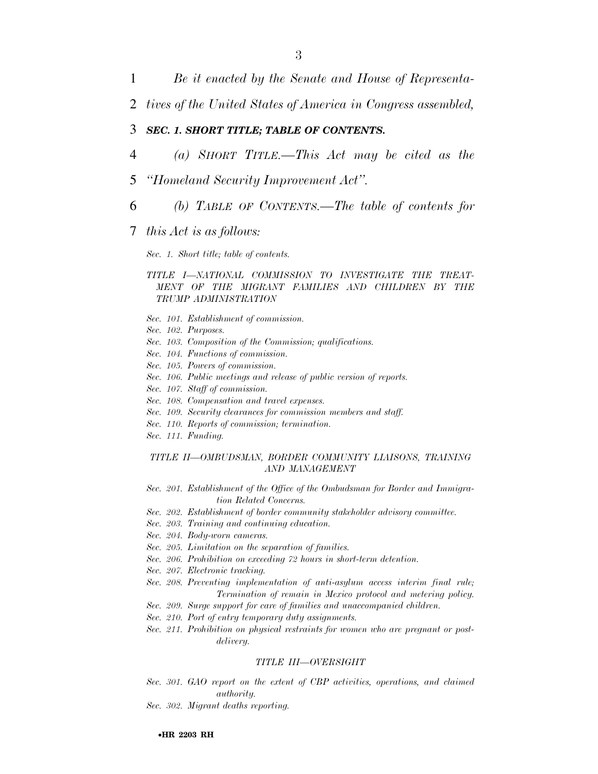2 *tives of the United States of America in Congress assembled,* 

#### 3 *SEC. 1. SHORT TITLE; TABLE OF CONTENTS.*

- 4 *(a) SHORT TITLE.—This Act may be cited as the*
- 5 *''Homeland Security Improvement Act''.*
- 6 *(b) TABLE OF CONTENTS.—The table of contents for*

#### 7 *this Act is as follows:*

#### *Sec. 1. Short title; table of contents.*

#### *TITLE I—NATIONAL COMMISSION TO INVESTIGATE THE TREAT-MENT OF THE MIGRANT FAMILIES AND CHILDREN BY THE TRUMP ADMINISTRATION*

- *Sec. 101. Establishment of commission.*
- *Sec. 102. Purposes.*
- *Sec. 103. Composition of the Commission; qualifications.*
- *Sec. 104. Functions of commission.*
- *Sec. 105. Powers of commission.*
- *Sec. 106. Public meetings and release of public version of reports.*
- *Sec. 107. Staff of commission.*
- *Sec. 108. Compensation and travel expenses.*
- *Sec. 109. Security clearances for commission members and staff.*
- *Sec. 110. Reports of commission; termination.*
- *Sec. 111. Funding.*

#### *TITLE II—OMBUDSMAN, BORDER COMMUNITY LIAISONS, TRAINING AND MANAGEMENT*

- *Sec. 201. Establishment of the Office of the Ombudsman for Border and Immigration Related Concerns.*
- *Sec. 202. Establishment of border community stakeholder advisory committee.*
- *Sec. 203. Training and continuing education.*
- *Sec. 204. Body-worn cameras.*
- *Sec. 205. Limitation on the separation of families.*
- *Sec. 206. Prohibition on exceeding 72 hours in short-term detention.*
- *Sec. 207. Electronic tracking.*
- *Sec. 208. Preventing implementation of anti-asylum access interim final rule; Termination of remain in Mexico protocol and metering policy.*
- *Sec. 209. Surge support for care of families and unaccompanied children.*
- *Sec. 210. Port of entry temporary duty assignments.*
- *Sec. 211. Prohibition on physical restraints for women who are pregnant or postdelivery.*

#### *TITLE III—OVERSIGHT*

- Sec. 301. GAO report on the extent of CBP activities, operations, and claimed *authority.*
- *Sec. 302. Migrant deaths reporting.*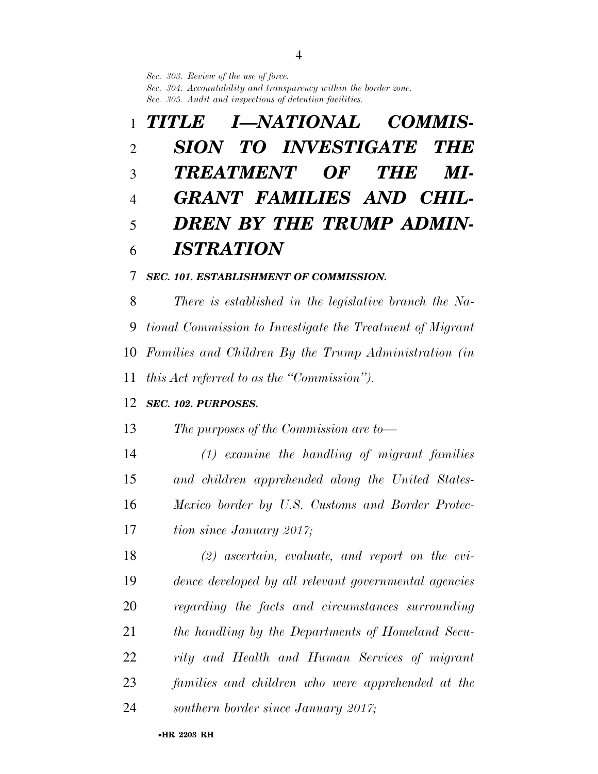*Sec. 303. Review of the use of force.* 

*Sec. 304. Accountability and transparency within the border zone. Sec. 305. Audit and inspections of detention facilities.* 

## *TITLE I—NATIONAL COMMIS- SION TO INVESTIGATE THE TREATMENT OF THE MI- GRANT FAMILIES AND CHIL- DREN BY THE TRUMP ADMIN-ISTRATION*

#### *SEC. 101. ESTABLISHMENT OF COMMISSION.*

 *There is established in the legislative branch the Na- tional Commission to Investigate the Treatment of Migrant Families and Children By the Trump Administration (in this Act referred to as the ''Commission'').* 

#### *SEC. 102. PURPOSES.*

*The purposes of the Commission are to—* 

 *(1) examine the handling of migrant families and children apprehended along the United States- Mexico border by U.S. Customs and Border Protec-tion since January 2017;* 

 *(2) ascertain, evaluate, and report on the evi- dence developed by all relevant governmental agencies regarding the facts and circumstances surrounding the handling by the Departments of Homeland Secu- rity and Health and Human Services of migrant families and children who were apprehended at the southern border since January 2017;*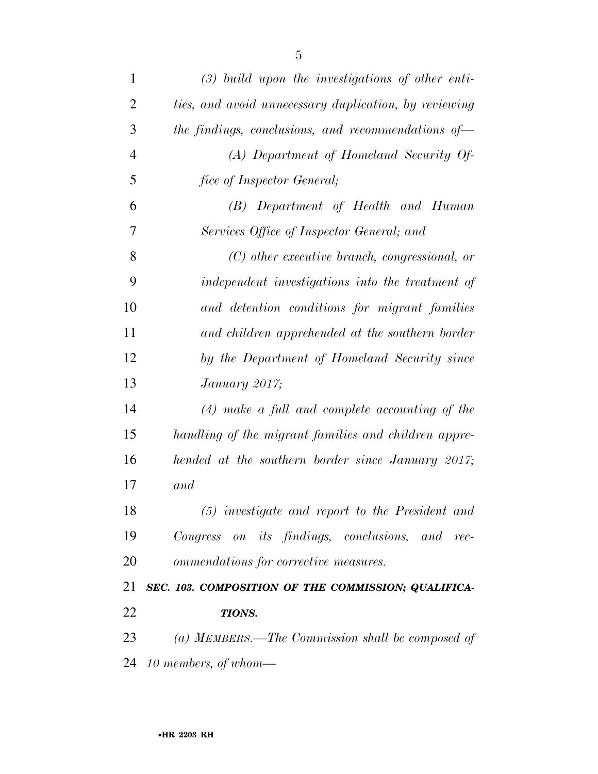| $(3)$ build upon the investigations of other enti-    |
|-------------------------------------------------------|
| ties, and avoid unnecessary duplication, by reviewing |
| the findings, conclusions, and recommendations of $-$ |
| (A) Department of Homeland Security Of-               |
| fice of Inspector General;                            |
| (B) Department of Health and Human                    |
| Services Office of Inspector General; and             |
| $(C)$ other executive branch, congressional, or       |
| independent investigations into the treatment of      |
| and detention conditions for migrant families         |
| and children apprehended at the southern border       |
| by the Department of Homeland Security since          |
| January 2017;                                         |
| $(4)$ make a full and complete accounting of the      |
| handling of the migrant families and children appre-  |
| hended at the southern border since January 2017;     |
| and                                                   |
| (5) investigate and report to the President and       |
| Congress on its findings, conclusions, and rec-       |
| ommendations for corrective measures.                 |
| SEC. 103. COMPOSITION OF THE COMMISSION; QUALIFICA-   |
| TIONS.                                                |
| (a) MEMBERS.—The Commission shall be composed of      |
| 24 10 members, of whom-                               |
|                                                       |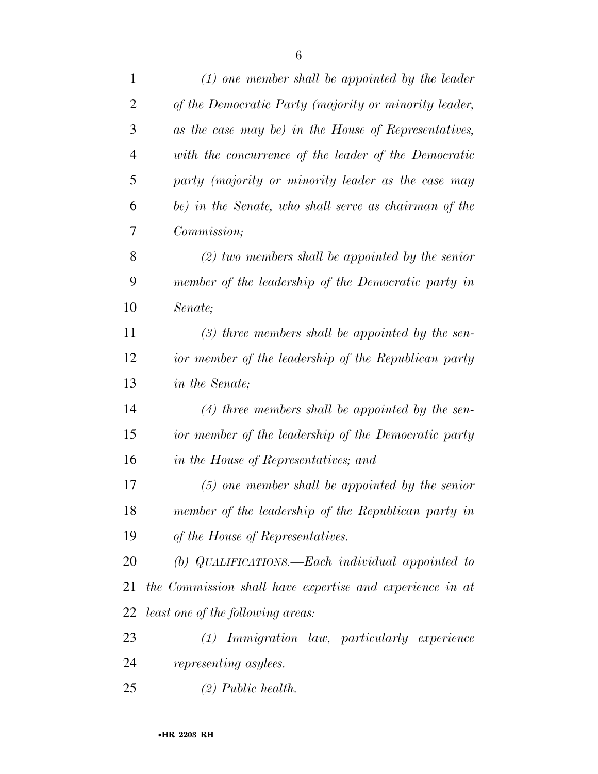| $\mathbf{1}$   | $(1)$ one member shall be appointed by the leader        |
|----------------|----------------------------------------------------------|
| $\overline{2}$ | of the Democratic Party (majority or minority leader,    |
| 3              | as the case may be) in the House of Representatives,     |
| $\overline{4}$ | with the concurrence of the leader of the Democratic     |
| 5              | party (majority or minority leader as the case may       |
| 6              | be) in the Senate, who shall serve as chairman of the    |
| 7              | Commission;                                              |
| 8              | $(2)$ two members shall be appointed by the senior       |
| 9              | member of the leadership of the Democratic party in      |
| 10             | Senate;                                                  |
| 11             | $(3)$ three members shall be appointed by the sen-       |
| 12             | ior member of the leadership of the Republican party     |
| 13             | in the Senate;                                           |
| 14             | $(4)$ three members shall be appointed by the sen-       |
| 15             | ior member of the leadership of the Democratic party     |
| 16             | in the House of Representatives; and                     |
| 17             | $(5)$ one member shall be appointed by the senior        |
| 18             | member of the leadership of the Republican party in      |
| 19             | of the House of Representatives.                         |
| 20             | (b) QUALIFICATIONS.—Each individual appointed to         |
| 21             | the Commission shall have expertise and experience in at |
| 22             | <i>least one of the following areas:</i>                 |
| 23             | <i>Immigration law, particularly experience</i><br>(1)   |
| 24             | representing asylees.                                    |
| 25             | $(2)$ Public health.                                     |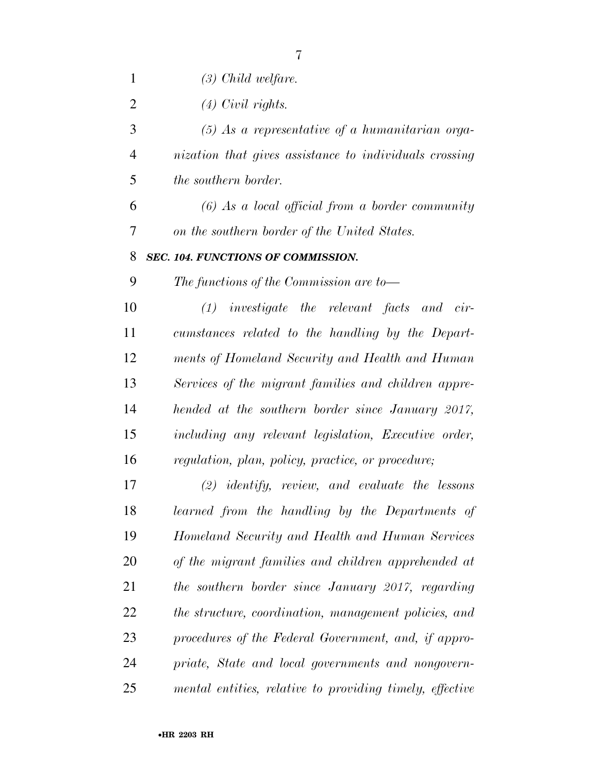*(3) Child welfare.* 

*(4) Civil rights.* 

 *(5) As a representative of a humanitarian orga- nization that gives assistance to individuals crossing the southern border.* 

 *(6) As a local official from a border community on the southern border of the United States.* 

#### *SEC. 104. FUNCTIONS OF COMMISSION.*

*The functions of the Commission are to—* 

 *(1) investigate the relevant facts and cir- cumstances related to the handling by the Depart- ments of Homeland Security and Health and Human Services of the migrant families and children appre- hended at the southern border since January 2017, including any relevant legislation, Executive order, regulation, plan, policy, practice, or procedure;* 

 *(2) identify, review, and evaluate the lessons learned from the handling by the Departments of Homeland Security and Health and Human Services of the migrant families and children apprehended at the southern border since January 2017, regarding the structure, coordination, management policies, and procedures of the Federal Government, and, if appro- priate, State and local governments and nongovern-mental entities, relative to providing timely, effective*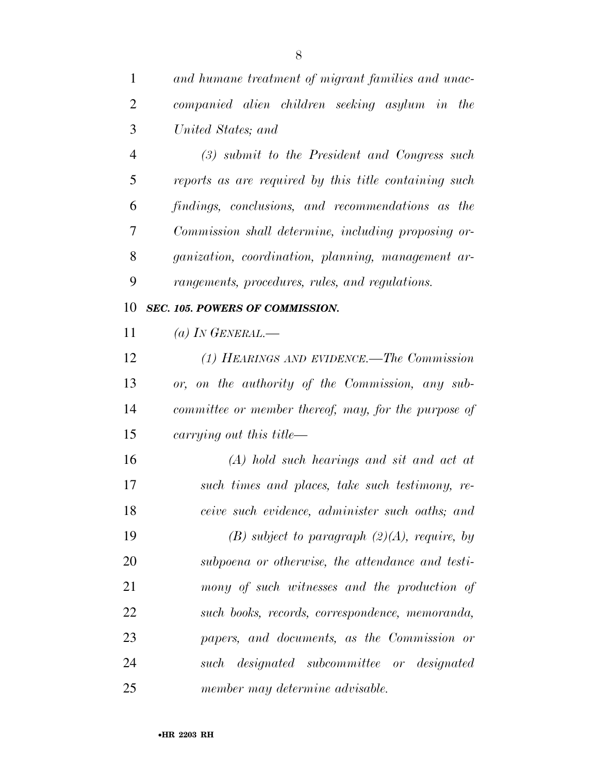*and humane treatment of migrant families and unac- companied alien children seeking asylum in the United States; and* 

 *(3) submit to the President and Congress such reports as are required by this title containing such findings, conclusions, and recommendations as the Commission shall determine, including proposing or- ganization, coordination, planning, management ar-rangements, procedures, rules, and regulations.* 

#### *SEC. 105. POWERS OF COMMISSION.*

*(a) IN GENERAL.—* 

 *(1) HEARINGS AND EVIDENCE.—The Commission or, on the authority of the Commission, any sub- committee or member thereof, may, for the purpose of carrying out this title—* 

 *(A) hold such hearings and sit and act at such times and places, take such testimony, re- ceive such evidence, administer such oaths; and (B) subject to paragraph (2)(A), require, by subpoena or otherwise, the attendance and testi- mony of such witnesses and the production of such books, records, correspondence, memoranda, papers, and documents, as the Commission or such designated subcommittee or designated member may determine advisable.*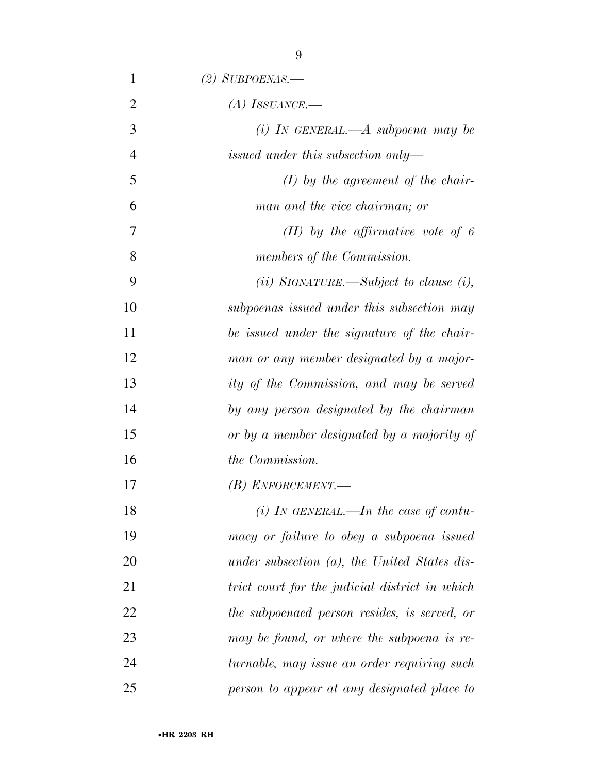| 1              | $(2)$ SUBPOENAS.—                                        |
|----------------|----------------------------------------------------------|
| $\overline{2}$ | $(A)$ ISSUANCE.—                                         |
| 3              | (i) IN GENERAL.—A subpoena may be                        |
| $\overline{4}$ | issued under this subsection only—                       |
| 5              | $(I)$ by the agreement of the chair-                     |
| 6              | man and the vice chairman; or                            |
| 7              | $(II)$ by the affirmative vote of 6                      |
| 8              | members of the Commission.                               |
| 9              | ( <i>ii</i> ) SIGNATURE.—Subject to clause ( <i>i</i> ), |
| 10             | subpoenas issued under this subsection may               |
| 11             | be issued under the signature of the chair-              |
| 12             | man or any member designated by a major-                 |
| 13             | ity of the Commission, and may be served                 |
| 14             | by any person designated by the chairman                 |
| 15             | or by a member designated by a majority of               |
| 16             | the Commission.                                          |
| 17             | $(B)$ ENFORCEMENT.—                                      |
| 18             | (i) In GENERAL.—In the case of contu-                    |
| 19             | macy or failure to obey a subpoena issued                |
| 20             | under subsection $(a)$ , the United States dis-          |
| 21             | trict court for the judicial district in which           |
| 22             | the subpoenaed person resides, is served, or             |
| 23             | may be found, or where the subpoena is re-               |
| 24             | turnable, may issue an order requiring such              |
| 25             | person to appear at any designated place to              |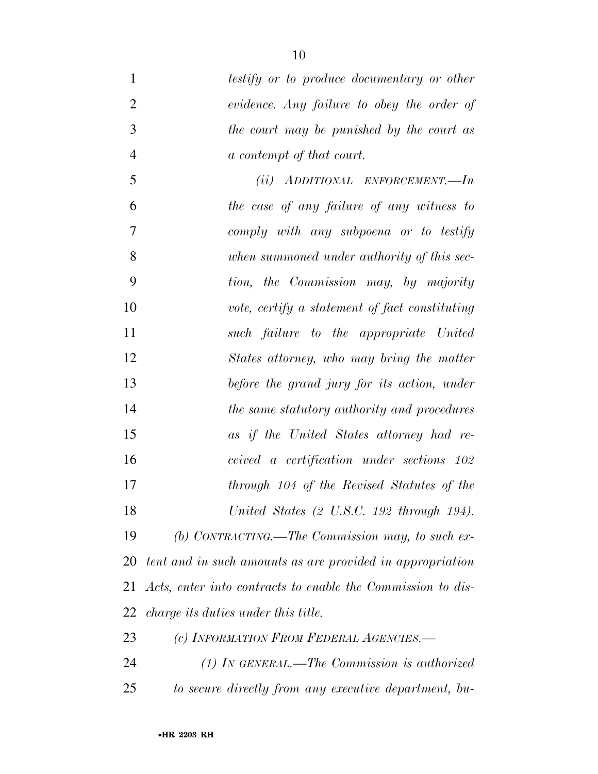| $\mathbf{1}$   | testify or to produce documentary or other                  |
|----------------|-------------------------------------------------------------|
| $\overline{2}$ | evidence. Any failure to obey the order of                  |
| 3              | the court may be punished by the court as                   |
| $\overline{4}$ | a contempt of that court.                                   |
| 5              | $(ii)$ ADDITIONAL ENFORCEMENT.—In                           |
| 6              | the case of any failure of any witness to                   |
| 7              | comply with any subpoena or to testify                      |
| 8              | when summoned under authority of this sec-                  |
| 9              | tion, the Commission may, by majority                       |
| 10             | vote, certify a statement of fact constituting              |
| 11             | such failure to the appropriate United                      |
| 12             | States attorney, who may bring the matter                   |
| 13             | before the grand jury for its action, under                 |
| 14             | the same statutory authority and procedures                 |
| 15             | as if the United States attorney had re-                    |
| 16             | ceived a certification under sections 102                   |
| 17             | through 104 of the Revised Statutes of the                  |
| 18             | United States (2 U.S.C. 192 through 194).                   |
| 19             | (b) CONTRACTING.—The Commission may, to such ex-            |
| 20             | tent and in such amounts as are provided in appropriation   |
| 21             | Acts, enter into contracts to enable the Commission to dis- |
| 22             | <i>charge its duties under this title.</i>                  |
| 23             | (c) INFORMATION FROM FEDERAL AGENCIES.—                     |
| 24             | $(1)$ In GENERAL.—The Commission is authorized              |
| 25             | to secure directly from any executive department, bu-       |
|                |                                                             |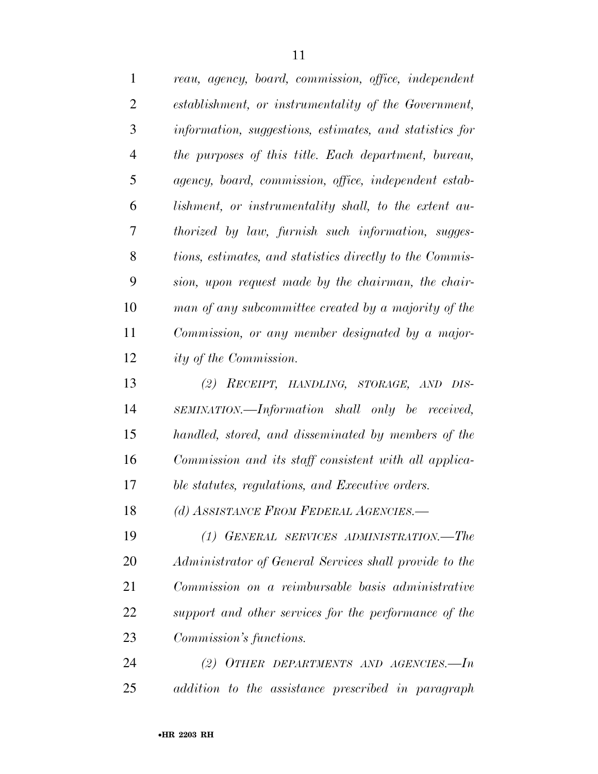| $\mathbf{1}$   | reau, agency, board, commission, office, independent     |
|----------------|----------------------------------------------------------|
| $\overline{2}$ | establishment, or instrumentality of the Government,     |
| 3              | information, suggestions, estimates, and statistics for  |
| $\overline{4}$ | the purposes of this title. Each department, bureau,     |
| 5              | agency, board, commission, office, independent estab-    |
| 6              | lishment, or instrumentality shall, to the extent au-    |
| 7              | thorized by law, furnish such information, sugges-       |
| 8              | tions, estimates, and statistics directly to the Commis- |
| 9              | sion, upon request made by the chairman, the chair-      |
| 10             | man of any subcommittee created by a majority of the     |
| 11             | Commission, or any member designated by a major-         |
| 12             | ity of the Commission.                                   |
| 13             | (2) RECEIPT, HANDLING, STORAGE, AND DIS-                 |
| 14             | SEMINATION.—Information shall only be received,          |
| 15             | handled, stored, and disseminated by members of the      |
| 16             | Commission and its staff consistent with all applica-    |
| 17             | ble statutes, regulations, and Executive orders.         |
| 18             | (d) ASSISTANCE FROM FEDERAL AGENCIES.-                   |
| 19             | (1) GENERAL SERVICES ADMINISTRATION.-The                 |
| 20             | Administrator of General Services shall provide to the   |
| 21             | Commission on a reimbursable basis administrative        |
| 22             | support and other services for the performance of the    |
| 23             | Commission's functions.                                  |
|                |                                                          |

 *(2) OTHER DEPARTMENTS AND AGENCIES.—In addition to the assistance prescribed in paragraph*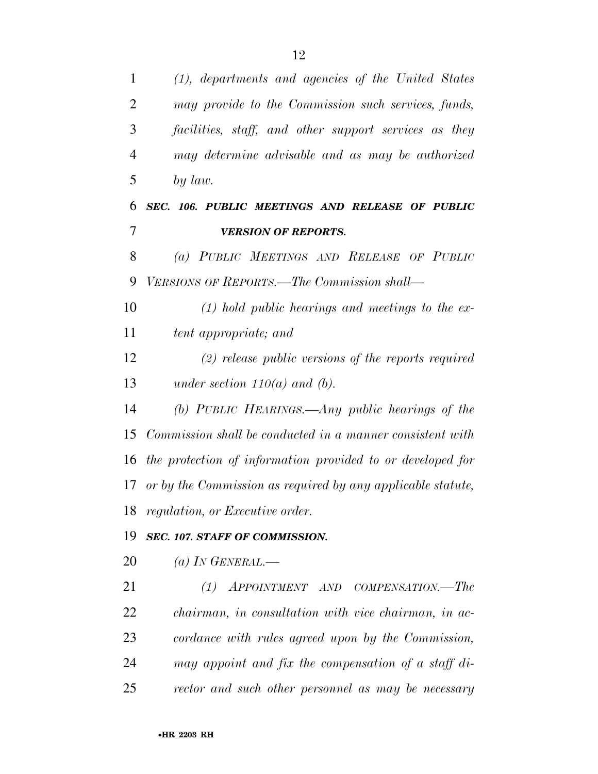| $\mathbf{1}$   | (1), departments and agencies of the United States          |
|----------------|-------------------------------------------------------------|
| $\overline{2}$ | may provide to the Commission such services, funds,         |
| 3              | facilities, staff, and other support services as they       |
| $\overline{4}$ | may determine advisable and as may be authorized            |
| 5              | by law.                                                     |
| 6              | SEC. 106. PUBLIC MEETINGS AND RELEASE OF PUBLIC             |
| $\overline{7}$ | <b>VERSION OF REPORTS.</b>                                  |
| 8              | (a) PUBLIC MEETINGS AND RELEASE OF PUBLIC                   |
| 9              | VERSIONS OF REPORTS.—The Commission shall—                  |
| 10             | $(1)$ hold public hearings and meetings to the ex-          |
| 11             | tent appropriate; and                                       |
| 12             | $(2)$ release public versions of the reports required       |
| 13             | under section $110(a)$ and (b).                             |
| 14             | (b) PUBLIC HEARINGS.—Any public hearings of the             |
| 15             | Commission shall be conducted in a manner consistent with   |
| 16             | the protection of information provided to or developed for  |
| 17             | or by the Commission as required by any applicable statute, |
| 18             | regulation, or Executive order.                             |
| 19             | SEC. 107. STAFF OF COMMISSION.                              |
| 20             | (a) IN GENERAL.—                                            |
| 21             | APPOINTMENT AND COMPENSATION.—The<br>(1)                    |
| 22             | <i>chairman, in consultation with vice chairman, in ac-</i> |
| 23             | cordance with rules agreed upon by the Commission,          |
| 24             | may appoint and fix the compensation of a staff di-         |
| 25             | rector and such other personnel as may be necessary         |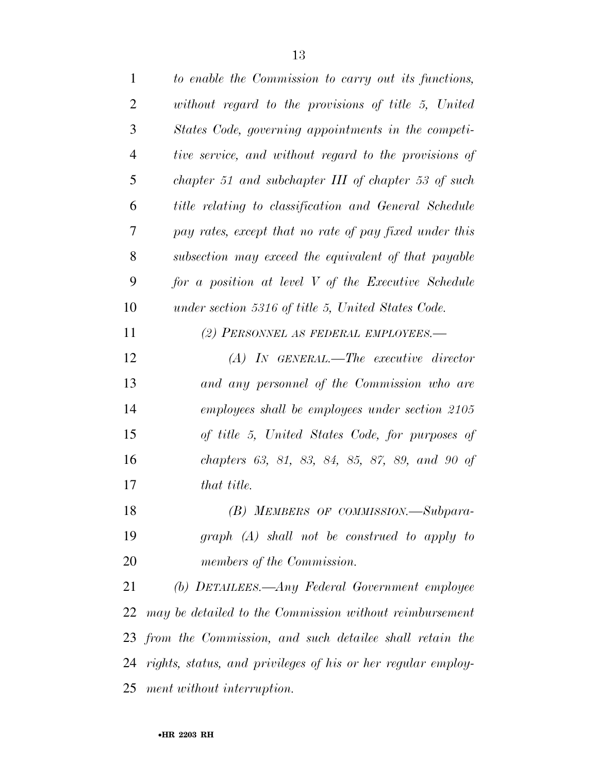| $\mathbf{1}$   | to enable the Commission to carry out its functions,            |
|----------------|-----------------------------------------------------------------|
| 2              | without regard to the provisions of title 5, United             |
| 3              | States Code, governing appointments in the competi-             |
| $\overline{4}$ | tive service, and without regard to the provisions of           |
| 5              | chapter 51 and subchapter III of chapter 53 of such             |
| 6              | title relating to classification and General Schedule           |
| 7              | pay rates, except that no rate of pay fixed under this          |
| 8              | subsection may exceed the equivalent of that payable            |
| 9              | for a position at level V of the Executive Schedule             |
| 10             | under section 5316 of title 5, United States Code.              |
| 11             | (2) PERSONNEL AS FEDERAL EMPLOYEES.—                            |
| 12             | $(A)$ In GENERAL.—The executive director                        |
| 13             | and any personnel of the Commission who are                     |
| 14             | employees shall be employees under section 2105                 |
| 15             | of title 5, United States Code, for purposes of                 |
| 16             | chapters 63, 81, 83, 84, 85, 87, 89, and 90 of                  |
| 17             | that title.                                                     |
| 18             | (B) MEMBERS OF COMMISSION.-Subpara-                             |
| 19             | $graph(A)$ shall not be construed to apply to                   |
| <b>20</b>      | members of the Commission.                                      |
| 21             | (b) DETAILEES.—Any Federal Government employee                  |
| 22             | may be detailed to the Commission without reimbursement         |
|                | 23 from the Commission, and such detailee shall retain the      |
|                | 24 rights, status, and privileges of his or her regular employ- |
|                | 25 ment without interruption.                                   |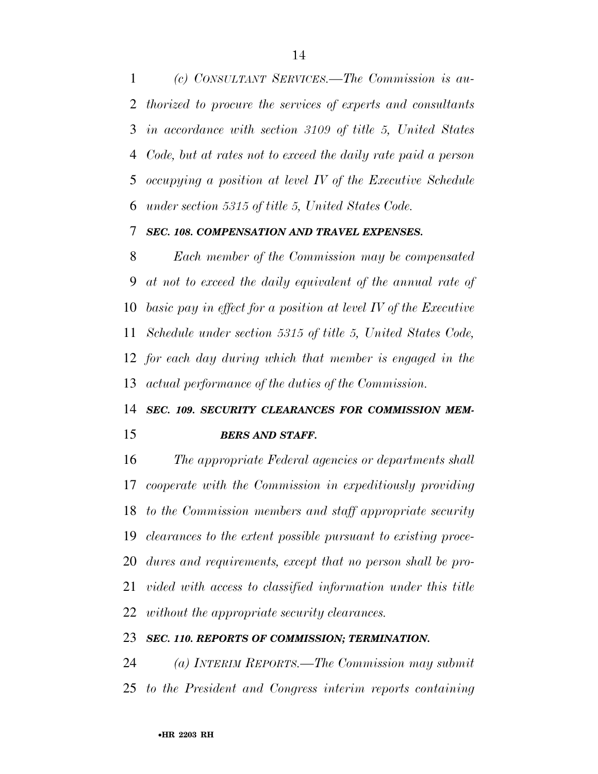*(c) CONSULTANT SERVICES.—The Commission is au- thorized to procure the services of experts and consultants in accordance with section 3109 of title 5, United States Code, but at rates not to exceed the daily rate paid a person occupying a position at level IV of the Executive Schedule under section 5315 of title 5, United States Code.* 

#### *SEC. 108. COMPENSATION AND TRAVEL EXPENSES.*

 *Each member of the Commission may be compensated at not to exceed the daily equivalent of the annual rate of basic pay in effect for a position at level IV of the Executive Schedule under section 5315 of title 5, United States Code, for each day during which that member is engaged in the actual performance of the duties of the Commission.* 

## *SEC. 109. SECURITY CLEARANCES FOR COMMISSION MEM-*

#### *BERS AND STAFF.*

 *The appropriate Federal agencies or departments shall cooperate with the Commission in expeditiously providing to the Commission members and staff appropriate security clearances to the extent possible pursuant to existing proce- dures and requirements, except that no person shall be pro- vided with access to classified information under this title without the appropriate security clearances.* 

#### *SEC. 110. REPORTS OF COMMISSION; TERMINATION.*

 *(a) INTERIM REPORTS.—The Commission may submit to the President and Congress interim reports containing*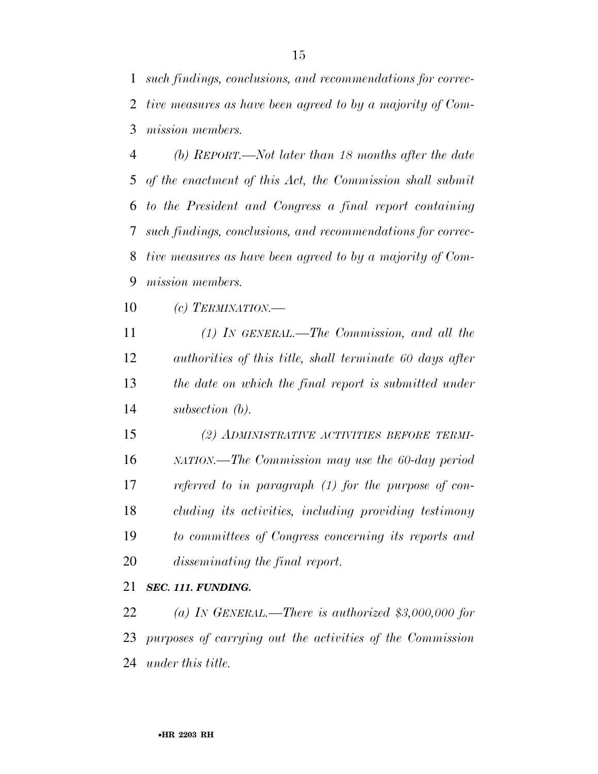*such findings, conclusions, and recommendations for correc- tive measures as have been agreed to by a majority of Com-mission members.* 

 *(b) REPORT.—Not later than 18 months after the date of the enactment of this Act, the Commission shall submit to the President and Congress a final report containing such findings, conclusions, and recommendations for correc- tive measures as have been agreed to by a majority of Com-mission members.* 

*(c) TERMINATION.—* 

 *(1) IN GENERAL.—The Commission, and all the authorities of this title, shall terminate 60 days after the date on which the final report is submitted under subsection (b).* 

 *(2) ADMINISTRATIVE ACTIVITIES BEFORE TERMI- NATION.—The Commission may use the 60-day period referred to in paragraph (1) for the purpose of con- cluding its activities, including providing testimony to committees of Congress concerning its reports and disseminating the final report.* 

#### *SEC. 111. FUNDING.*

 *(a) IN GENERAL.—There is authorized \$3,000,000 for purposes of carrying out the activities of the Commission under this title.*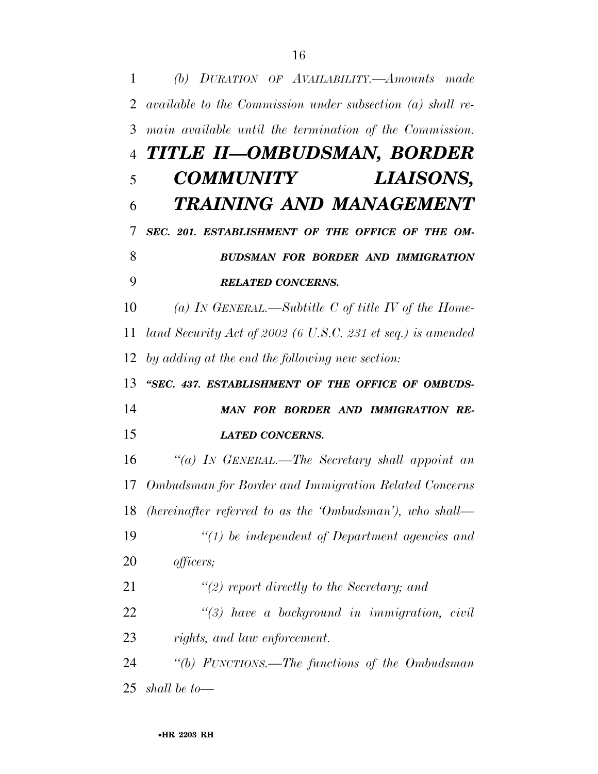*(b) DURATION OF AVAILABILITY.—Amounts made available to the Commission under subsection (a) shall re- main available until the termination of the Commission. TITLE II—OMBUDSMAN, BORDER COMMUNITY LIAISONS, TRAINING AND MANAGEMENT SEC. 201. ESTABLISHMENT OF THE OFFICE OF THE OM- BUDSMAN FOR BORDER AND IMMIGRATION RELATED CONCERNS. (a) IN GENERAL.—Subtitle C of title IV of the Home- land Security Act of 2002 (6 U.S.C. 231 et seq.) is amended by adding at the end the following new section: ''SEC. 437. ESTABLISHMENT OF THE OFFICE OF OMBUDS- MAN FOR BORDER AND IMMIGRATION RE- LATED CONCERNS. ''(a) IN GENERAL.—The Secretary shall appoint an Ombudsman for Border and Immigration Related Concerns (hereinafter referred to as the 'Ombudsman'), who shall— ''(1) be independent of Department agencies and officers; ''(2) report directly to the Secretary; and ''(3) have a background in immigration, civil rights, and law enforcement. ''(b) FUNCTIONS.—The functions of the Ombudsman shall be to—*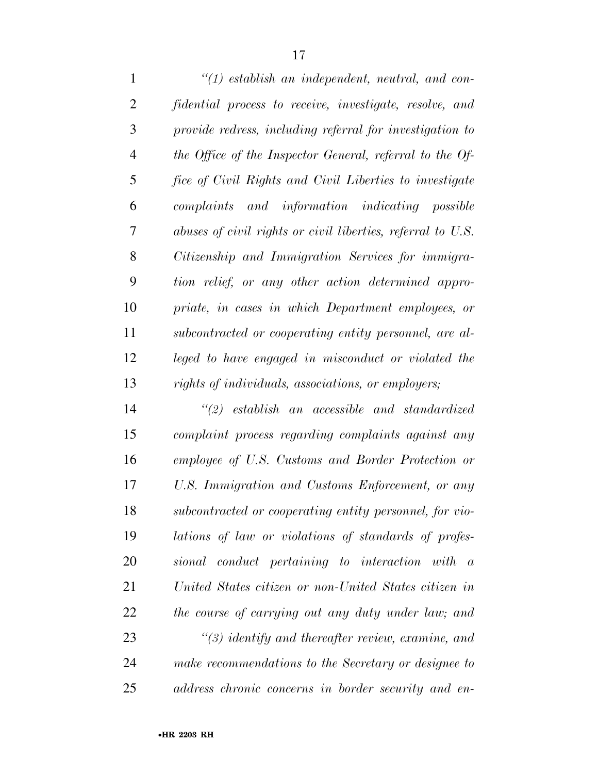*''(1) establish an independent, neutral, and con- fidential process to receive, investigate, resolve, and provide redress, including referral for investigation to the Office of the Inspector General, referral to the Of- fice of Civil Rights and Civil Liberties to investigate complaints and information indicating possible abuses of civil rights or civil liberties, referral to U.S. Citizenship and Immigration Services for immigra- tion relief, or any other action determined appro- priate, in cases in which Department employees, or subcontracted or cooperating entity personnel, are al- leged to have engaged in misconduct or violated the rights of individuals, associations, or employers;* 

 *''(2) establish an accessible and standardized complaint process regarding complaints against any employee of U.S. Customs and Border Protection or U.S. Immigration and Customs Enforcement, or any subcontracted or cooperating entity personnel, for vio- lations of law or violations of standards of profes- sional conduct pertaining to interaction with a United States citizen or non-United States citizen in the course of carrying out any duty under law; and ''(3) identify and thereafter review, examine, and make recommendations to the Secretary or designee to address chronic concerns in border security and en-*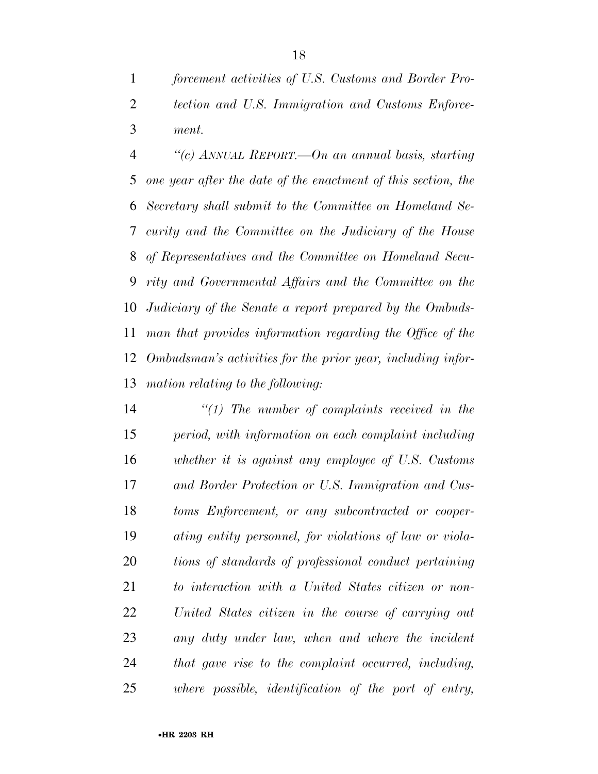*forcement activities of U.S. Customs and Border Pro- tection and U.S. Immigration and Customs Enforce-ment.* 

 *''(c) ANNUAL REPORT.—On an annual basis, starting one year after the date of the enactment of this section, the Secretary shall submit to the Committee on Homeland Se- curity and the Committee on the Judiciary of the House of Representatives and the Committee on Homeland Secu- rity and Governmental Affairs and the Committee on the Judiciary of the Senate a report prepared by the Ombuds- man that provides information regarding the Office of the Ombudsman's activities for the prior year, including infor-mation relating to the following:* 

 *''(1) The number of complaints received in the period, with information on each complaint including whether it is against any employee of U.S. Customs and Border Protection or U.S. Immigration and Cus- toms Enforcement, or any subcontracted or cooper- ating entity personnel, for violations of law or viola- tions of standards of professional conduct pertaining to interaction with a United States citizen or non- United States citizen in the course of carrying out any duty under law, when and where the incident that gave rise to the complaint occurred, including, where possible, identification of the port of entry,*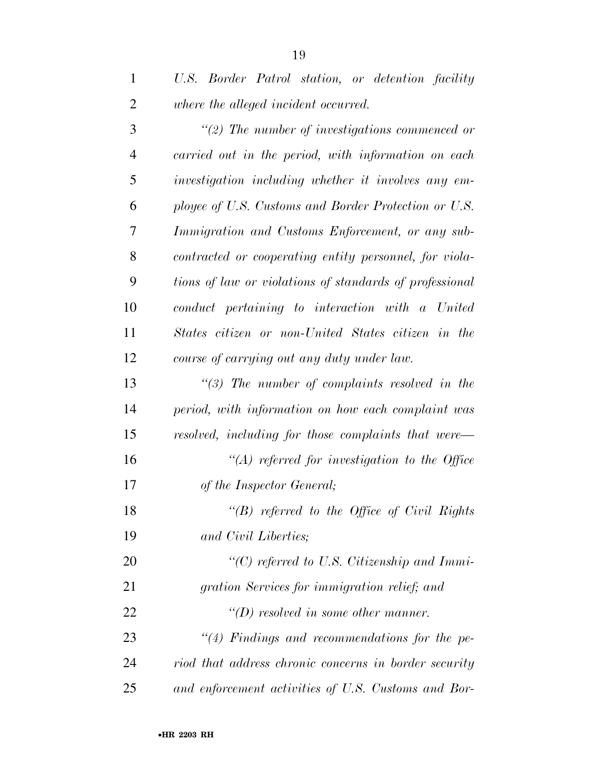| $\mathbf{1}$   | U.S. Border Patrol station, or detention facility             |
|----------------|---------------------------------------------------------------|
| $\overline{2}$ | where the alleged incident occurred.                          |
| 3              | $\lq(2)$ The number of investigations commenced or            |
| $\overline{4}$ | carried out in the period, with information on each           |
| 5              | investigation including whether it involves any em-           |
| 6              | ployee of U.S. Customs and Border Protection or U.S.          |
| 7              | Immigration and Customs Enforcement, or any sub-              |
| 8              | contracted or cooperating entity personnel, for viola-        |
| 9              | tions of law or violations of standards of professional       |
| 10             | conduct pertaining to interaction with a United               |
| 11             | States citizen or non-United States citizen in the            |
| 12             | course of carrying out any duty under law.                    |
| 13             | $\lq(3)$ The number of complaints resolved in the             |
| 14             | period, with information on how each complaint was            |
| 15             | resolved, including for those complaints that were—           |
| 16             | $\lq (A)$ referred for investigation to the Office            |
| 17             | of the Inspector General;                                     |
| 18             | " $(B)$ referred to the Office of Civil Rights                |
| 19             | and Civil Liberties;                                          |
| 20             | $\lq$ <sup>"</sup> (C) referred to U.S. Citizenship and Immi- |
| 21             | gration Services for immigration relief; and                  |
| 22             | $\lq\lq(D)$ resolved in some other manner.                    |
| 23             | $\lq(4)$ Findings and recommendations for the pe-             |
| 24             | riod that address chronic concerns in border security         |
| 25             | and enforcement activities of U.S. Customs and Bor-           |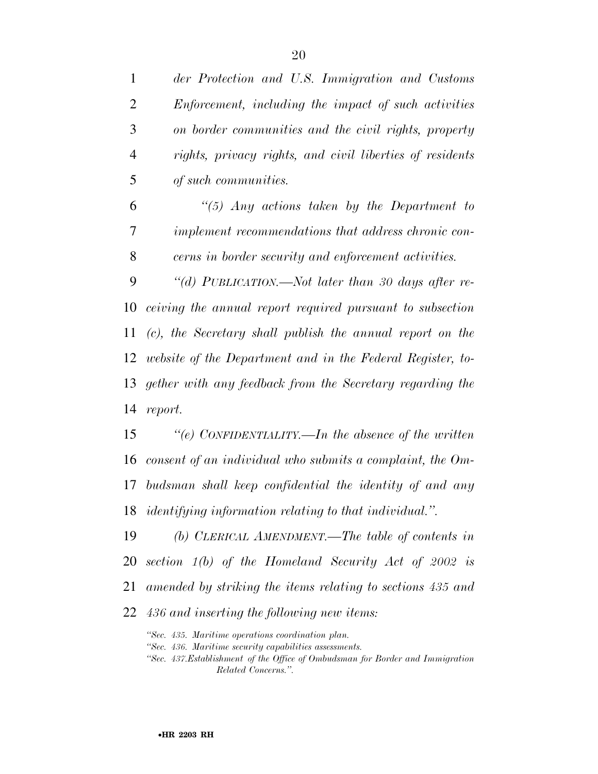| $\mathbf{1}$   | der Protection and U.S. Immigration and Customs                   |
|----------------|-------------------------------------------------------------------|
| $\overline{2}$ | Enforcement, including the impact of such activities              |
| 3              | on border communities and the civil rights, property              |
| $\overline{4}$ | rights, privacy rights, and civil liberties of residents          |
| 5              | of such communities.                                              |
| 6              | "(5) Any actions taken by the Department to                       |
| 7              | implement recommendations that address chronic con-               |
| 8              | cerns in border security and enforcement activities.              |
| 9              | "(d) PUBLICATION.—Not later than 30 days after re-                |
| 10             | ceiving the annual report required pursuant to subsection         |
| 11             | (c), the Secretary shall publish the annual report on the         |
| 12             | website of the Department and in the Federal Register, to-        |
| 13             | gether with any feedback from the Secretary regarding the         |
| 14             | report.                                                           |
| 15             | "(e) CONFIDENTIALITY.—In the absence of the written               |
| 16             | consent of an individual who submits a complaint, the $Om-$       |
| 17             | budsman shall keep confidential the identity of and any           |
|                | 18 <i>identifying information relating to that individual.</i> ". |
| 19             | (b) CLERICAL AMENDMENT.—The table of contents in                  |
| 20             | section $1(b)$ of the Homeland Security Act of 2002 is            |
| 21             | amended by striking the items relating to sections 435 and        |
|                |                                                                   |

*436 and inserting the following new items:* 

*''Sec. 435. Maritime operations coordination plan.* 

*''Sec. 436. Maritime security capabilities assessments.* 

*''Sec. 437.Establishment of the Office of Ombudsman for Border and Immigration Related Concerns.''.*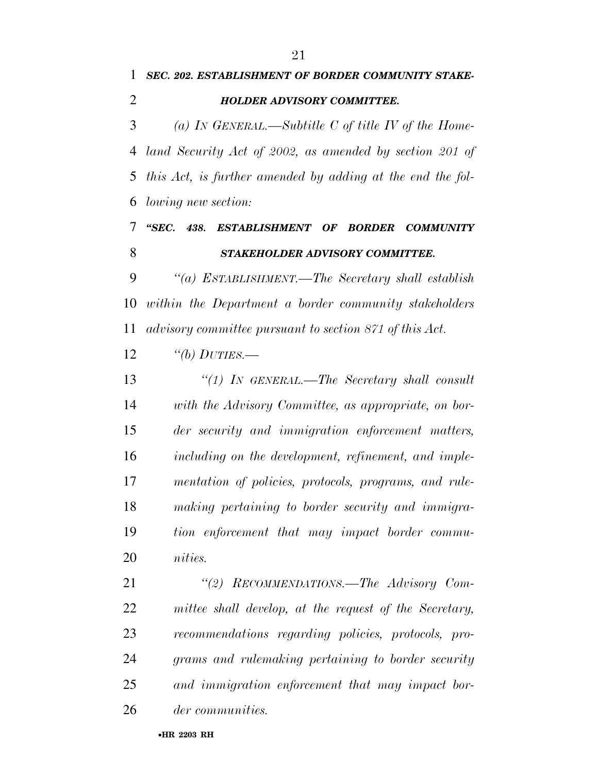*SEC. 202. ESTABLISHMENT OF BORDER COMMUNITY STAKE-*

| (a) IN GENERAL.—Subtitle C of title IV of the Home-        |
|------------------------------------------------------------|
| land Security Act of 2002, as amended by section 201 of    |
| this Act, is further amended by adding at the end the fol- |
| <i>lowing new section:</i>                                 |
| "SEC.<br>438.<br>ESTABLISHMENT OF BORDER COMMUNITY         |
| STAKEHOLDER ADVISORY COMMITTEE.                            |
| "(a) ESTABLISHMENT.—The Secretary shall establish          |
| within the Department a border community stakeholders      |
| advisory committee pursuant to section 871 of this Act.    |
| "(b) $DUTIES$ .                                            |
| "(1) IN GENERAL.—The Secretary shall consult               |
| with the Advisory Committee, as appropriate, on bor-       |
| der security and immigration enforcement matters,          |
| including on the development, refinement, and imple-       |
| mentation of policies, protocols, programs, and rule-      |
| making pertaining to border security and immigra-          |
| tion enforcement that may impact border commu-             |
| <i>nities.</i>                                             |
| "(2) RECOMMENDATIONS.—The Advisory Com-                    |
| mittee shall develop, at the request of the Secretary,     |
| recommendations regarding policies, protocols, pro-        |
| grams and rulemaking pertaining to border security         |
| and immigration enforcement that may impact bor-           |
| der communities.                                           |
|                                                            |

#### •**HR 2203 RH**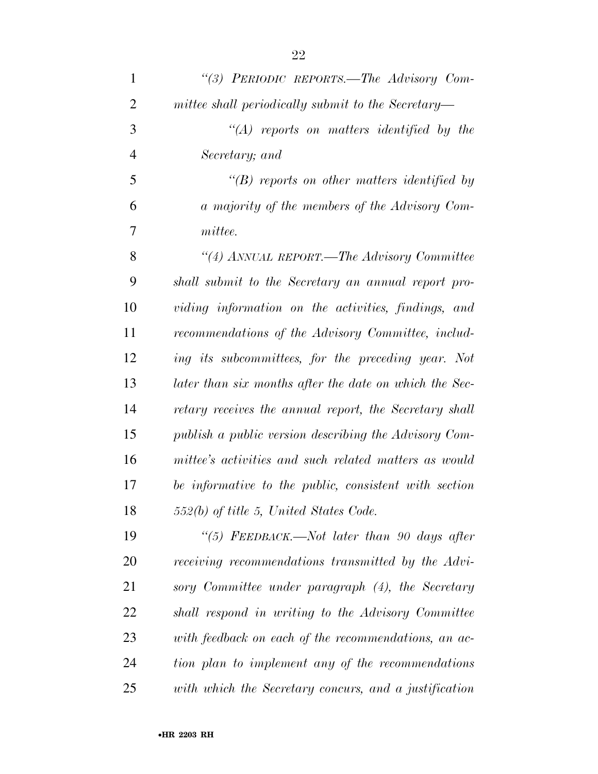| $\mathbf{1}$   | "(3) PERIODIC REPORTS.—The Advisory Com-               |
|----------------|--------------------------------------------------------|
| $\overline{2}$ | mittee shall periodically submit to the Secretary—     |
| 3              | $\lq\lq (A)$ reports on matters identified by the      |
| $\overline{4}$ | Secretary; and                                         |
| 5              | $\lq\lq(B)$ reports on other matters identified by     |
| 6              | a majority of the members of the Advisory Com-         |
| 7              | mittee.                                                |
| 8              | "(4) ANNUAL REPORT.—The Advisory Committee             |
| 9              | shall submit to the Secretary an annual report pro-    |
| 10             | viding information on the activities, findings, and    |
| 11             | recommendations of the Advisory Committee, includ-     |
| 12             | ing its subcommittees, for the preceding year. Not     |
| 13             | later than six months after the date on which the Sec- |
| 14             | retary receives the annual report, the Secretary shall |
| 15             | publish a public version describing the Advisory Com-  |
| 16             | mittee's activities and such related matters as would  |
| 17             | be informative to the public, consistent with section  |
| 18             | 552(b) of title 5, United States Code.                 |
| 19             | "(5) FEEDBACK.—Not later than 90 days after            |
| 20             | receiving recommendations transmitted by the Advi-     |
| 21             | sory Committee under paragraph (4), the Secretary      |
| 22             | shall respond in writing to the Advisory Committee     |
| 23             | with feedback on each of the recommendations, an ac-   |
| 24             | tion plan to implement any of the recommendations      |
| 25             | with which the Secretary concurs, and a justification  |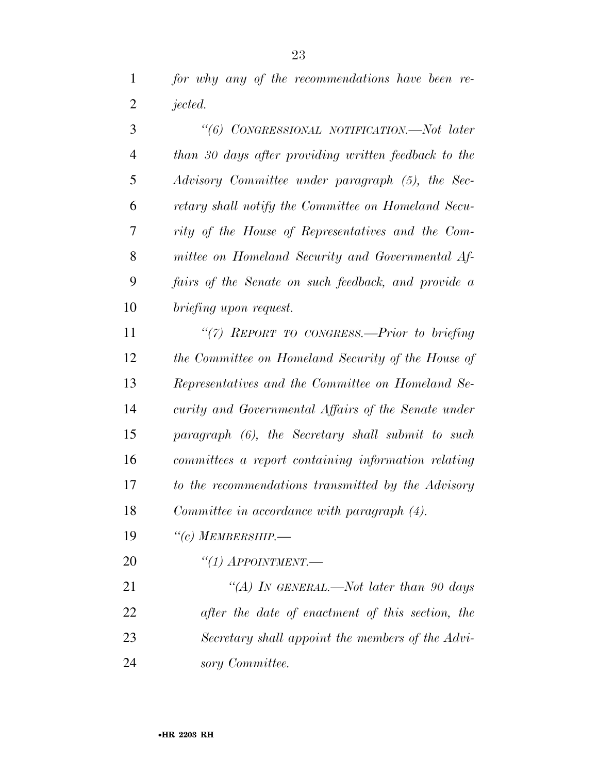| 3              | "(6) CONGRESSIONAL NOTIFICATION.-Not later           |
|----------------|------------------------------------------------------|
| $\overline{4}$ | than 30 days after providing written feedback to the |
| 5              | Advisory Committee under paragraph (5), the Sec-     |
| 6              | retary shall notify the Committee on Homeland Secu-  |
| 7              | rity of the House of Representatives and the Com-    |
| 8              | mittee on Homeland Security and Governmental Af-     |
| 9              | fairs of the Senate on such feedback, and provide a  |
| 10             | briefing upon request.                               |
| 11             | "(7) REPORT TO CONGRESS.—Prior to briefing           |
| 12             | the Committee on Homeland Security of the House of   |
| 13             | Representatives and the Committee on Homeland Se-    |
| 14             | curity and Governmental Affairs of the Senate under  |
| 15             | paragraph (6), the Secretary shall submit to such    |
| 16             | committees a report containing information relating  |
| 17             | to the recommendations transmitted by the Advisory   |
| 18             | Committee in accordance with paragraph (4).          |
| 19             | $``(c)$ MEMBERSHIP.—                                 |
| 20             | $``(1)$ APPOINTMENT.—                                |
| 21             | "(A) IN GENERAL.—Not later than 90 days              |

 *after the date of enactment of this section, the Secretary shall appoint the members of the Advi-sory Committee.*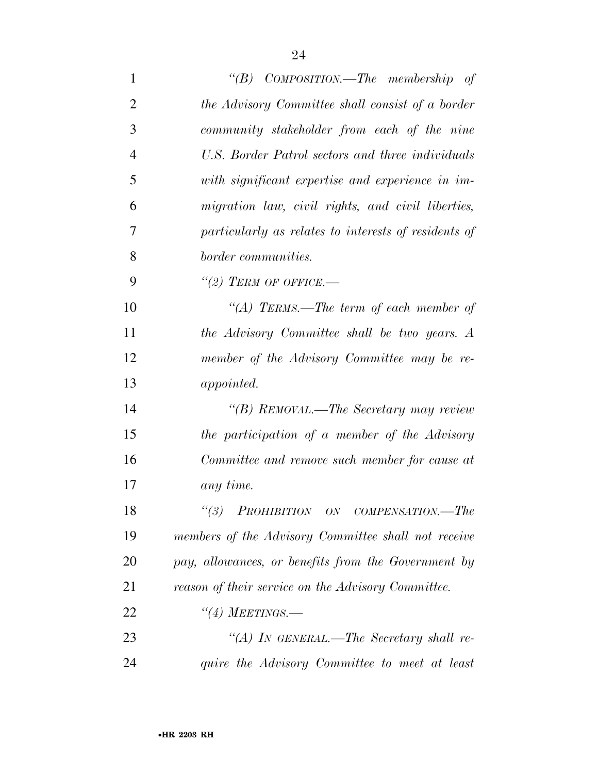| $\mathbf{1}$   | "(B) $COMPOSITION$ —The membership of                |
|----------------|------------------------------------------------------|
| $\overline{2}$ | the Advisory Committee shall consist of a border     |
| 3              | community stakeholder from each of the nine          |
| $\overline{4}$ | U.S. Border Patrol sectors and three individuals     |
| 5              | with significant expertise and experience in im-     |
| 6              | migration law, civil rights, and civil liberties,    |
| 7              | particularly as relates to interests of residents of |
| 8              | border communities.                                  |
| 9              | $\lq(2)$ TERM OF OFFICE.-                            |
| 10             | "(A) TERMS.—The term of each member of               |
| 11             | the Advisory Committee shall be two years. A         |
| 12             | member of the Advisory Committee may be re-          |
| 13             | <i>appointed.</i>                                    |
| 14             | "(B) REMOVAL.—The Secretary may review               |
| 15             | the participation of a member of the Advisory        |
| 16             | Committee and remove such member for cause at        |
| 17             | any time.                                            |
| 18             | (3)<br><b>PROHIBITION</b> ON COMPENSATION.—The       |
| 19             | members of the Advisory Committee shall not receive  |
| 20             | pay, allowances, or benefits from the Government by  |
| 21             | reason of their service on the Advisory Committee.   |
| 22             | $``(4)$ Meetings.—                                   |
| 23             | "(A) IN GENERAL.—The Secretary shall re-             |
| 24             | quire the Advisory Committee to meet at least        |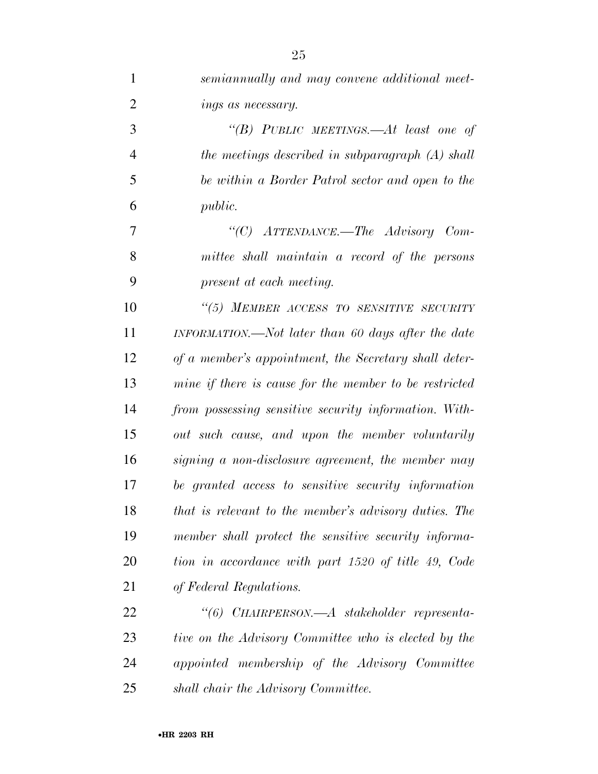| $\mathbf{1}$   | semiannually and may convene additional meet-          |
|----------------|--------------------------------------------------------|
| $\overline{2}$ | ings as necessary.                                     |
| 3              | "(B) PUBLIC MEETINGS.—At least one of                  |
| $\overline{4}$ | the meetings described in subparagraph (A) shall       |
| 5              | be within a Border Patrol sector and open to the       |
| 6              | <i>public.</i>                                         |
| 7              | "(C) ATTENDANCE.—The Advisory Com-                     |
| 8              | mittee shall maintain a record of the persons          |
| 9              | present at each meeting.                               |
| 10             | "(5) MEMBER ACCESS TO SENSITIVE SECURITY               |
| 11             | INFORMATION.—Not later than 60 days after the date     |
| 12             | of a member's appointment, the Secretary shall deter-  |
| 13             | mine if there is cause for the member to be restricted |
| 14             | from possessing sensitive security information. With-  |
| 15             | out such cause, and upon the member voluntarily        |
| 16             | signing a non-disclosure agreement, the member may     |
| 17             | be granted access to sensitive security information    |
| 18             | that is relevant to the member's advisory duties. The  |
| 19             | member shall protect the sensitive security informa-   |
| 20             | tion in accordance with part 1520 of title 49, Code    |
| 21             | of Federal Regulations.                                |
| 22             | "(6) CHAIRPERSON.—A stakeholder representa-            |
| 23             | tive on the Advisory Committee who is elected by the   |
| 24             | appointed membership of the Advisory Committee         |
| 25             | shall chair the Advisory Committee.                    |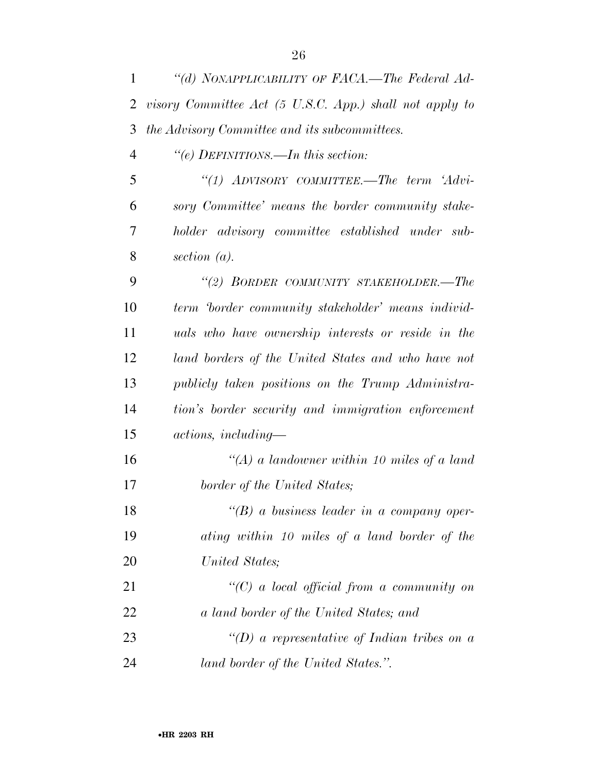| 1              | "(d) NONAPPLICABILITY OF FACA.—The Federal Ad-          |
|----------------|---------------------------------------------------------|
| 2              | visory Committee Act (5 U.S.C. App.) shall not apply to |
| 3              | the Advisory Committee and its subcommittees.           |
| $\overline{4}$ | "(e) DEFINITIONS.—In this section:                      |
| 5              | "(1) ADVISORY COMMITTEE.—The term 'Advi-                |
| 6              | sory Committee' means the border community stake-       |
| 7              | holder advisory committee established under sub-        |
| 8              | section $(a)$ .                                         |
| 9              | "(2) BORDER COMMUNITY STAKEHOLDER.-The                  |
| 10             | term border community stakeholder' means individ-       |
| 11             | uals who have ownership interests or reside in the      |
| 12             | land borders of the United States and who have not      |
| 13             | publicly taken positions on the Trump Administra-       |
| 14             | tion's border security and immigration enforcement      |
| 15             | $actions, including-$                                   |
| 16             | "(A) a landowner within 10 miles of a land              |
| 17             | border of the United States;                            |
| 18             | $\lq\lq(B)$ a business leader in a company oper-        |
| 19             | ating within 10 miles of a land border of the           |
| 20             | United States;                                          |
| 21             | $\lq (C)$ a local official from a community on          |
| 22             | a land border of the United States; and                 |
| 23             | "(D) a representative of Indian tribes on a             |
| 24             | land border of the United States.".                     |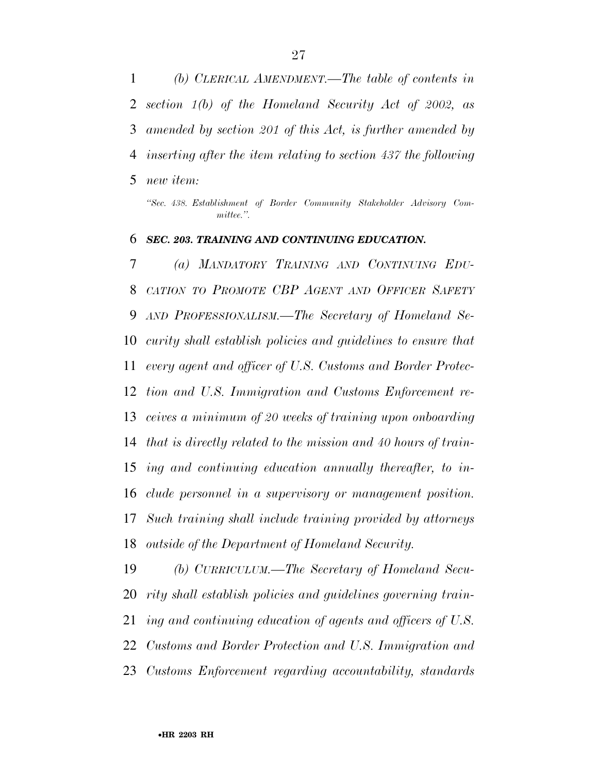*(b) CLERICAL AMENDMENT.—The table of contents in section 1(b) of the Homeland Security Act of 2002, as amended by section 201 of this Act, is further amended by inserting after the item relating to section 437 the following new item:* 

*''Sec. 438. Establishment of Border Community Stakeholder Advisory Committee.''.* 

#### *SEC. 203. TRAINING AND CONTINUING EDUCATION.*

 *(a) MANDATORY TRAINING AND CONTINUING EDU- CATION TO PROMOTE CBP AGENT AND OFFICER SAFETY AND PROFESSIONALISM.—The Secretary of Homeland Se- curity shall establish policies and guidelines to ensure that every agent and officer of U.S. Customs and Border Protec- tion and U.S. Immigration and Customs Enforcement re- ceives a minimum of 20 weeks of training upon onboarding that is directly related to the mission and 40 hours of train- ing and continuing education annually thereafter, to in- clude personnel in a supervisory or management position. Such training shall include training provided by attorneys outside of the Department of Homeland Security.* 

 *(b) CURRICULUM.—The Secretary of Homeland Secu- rity shall establish policies and guidelines governing train- ing and continuing education of agents and officers of U.S. Customs and Border Protection and U.S. Immigration and Customs Enforcement regarding accountability, standards*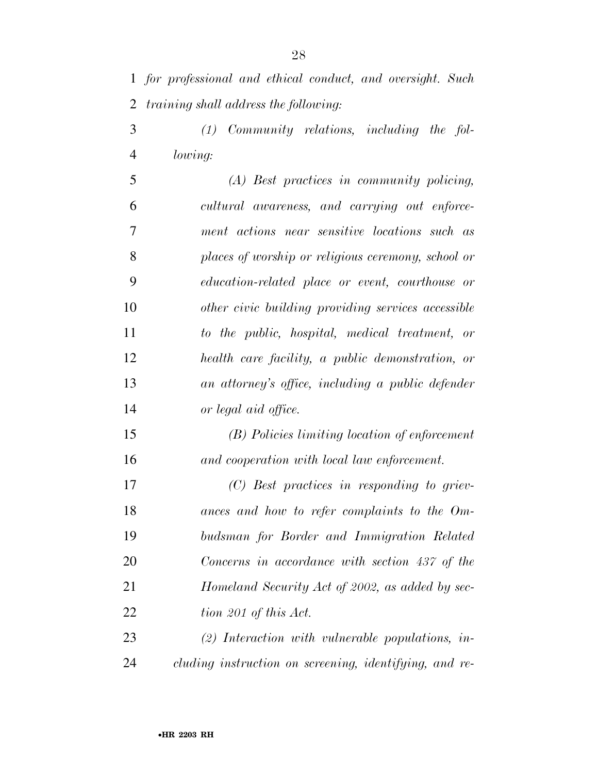*for professional and ethical conduct, and oversight. Such training shall address the following:* 

 *(1) Community relations, including the fol-lowing:* 

 *(A) Best practices in community policing, cultural awareness, and carrying out enforce- ment actions near sensitive locations such as places of worship or religious ceremony, school or education-related place or event, courthouse or other civic building providing services accessible to the public, hospital, medical treatment, or health care facility, a public demonstration, or an attorney's office, including a public defender or legal aid office.* 

 *(B) Policies limiting location of enforcement and cooperation with local law enforcement.* 

 *(C) Best practices in responding to griev- ances and how to refer complaints to the Om- budsman for Border and Immigration Related Concerns in accordance with section 437 of the Homeland Security Act of 2002, as added by sec-tion 201 of this Act.* 

 *(2) Interaction with vulnerable populations, in-cluding instruction on screening, identifying, and re-*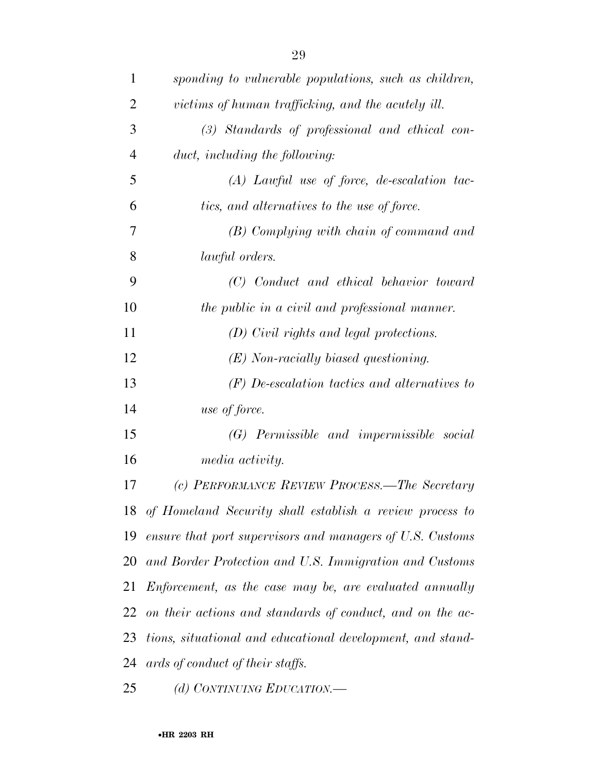| $\mathbf{1}$   | sponding to vulnerable populations, such as children,       |
|----------------|-------------------------------------------------------------|
| $\overline{2}$ | victims of human trafficking, and the acutely ill.          |
| 3              | (3) Standards of professional and ethical con-              |
| $\overline{4}$ | duct, including the following:                              |
| 5              | $(A)$ Lawful use of force, de-escalation tac-               |
| 6              | tics, and alternatives to the use of force.                 |
| 7              | (B) Complying with chain of command and                     |
| 8              | <i>lawful orders.</i>                                       |
| 9              | (C) Conduct and ethical behavior toward                     |
| 10             | the public in a civil and professional manner.              |
| 11             | (D) Civil rights and legal protections.                     |
| 12             | $(E)$ Non-racially biased questioning.                      |
| 13             | $(F)$ De-escalation tactics and alternatives to             |
| 14             | use of force.                                               |
| 15             | (G) Permissible and impermissible social                    |
| 16             | media activity.                                             |
| 17             | (c) PERFORMANCE REVIEW PROCESS.—The Secretary               |
|                | 18 of Homeland Security shall establish a review process to |
| 19             | ensure that port supervisors and managers of U.S. Customs   |
| 20             | and Border Protection and U.S. Immigration and Customs      |
| 21             | Enforcement, as the case may be, are evaluated annually     |
| 22             | on their actions and standards of conduct, and on the ac-   |
| 23             | tions, situational and educational development, and stand-  |
| 24             | ards of conduct of their staffs.                            |
| 25             | (d) CONTINUING EDUCATION.-                                  |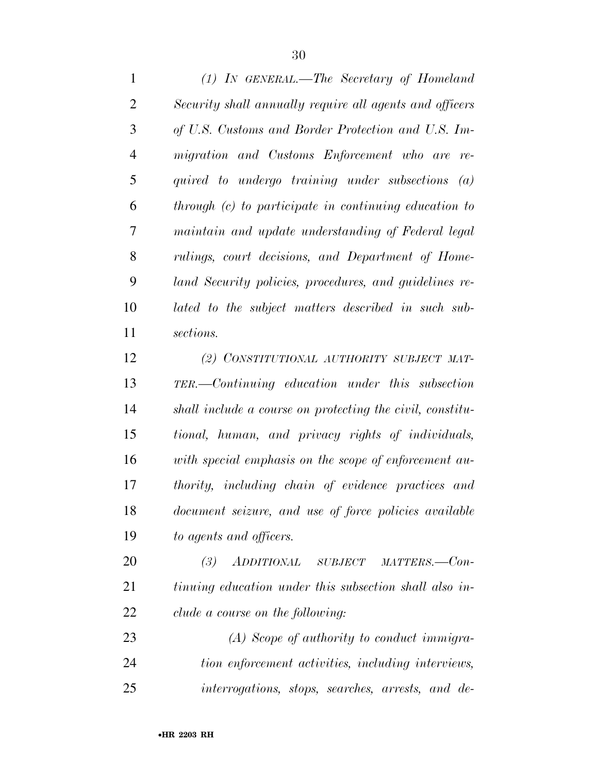*(1) IN GENERAL.—The Secretary of Homeland Security shall annually require all agents and officers of U.S. Customs and Border Protection and U.S. Im- migration and Customs Enforcement who are re- quired to undergo training under subsections (a) through (c) to participate in continuing education to maintain and update understanding of Federal legal rulings, court decisions, and Department of Home- land Security policies, procedures, and guidelines re- lated to the subject matters described in such sub-sections.* 

 *(2) CONSTITUTIONAL AUTHORITY SUBJECT MAT- TER.—Continuing education under this subsection shall include a course on protecting the civil, constitu- tional, human, and privacy rights of individuals, with special emphasis on the scope of enforcement au- thority, including chain of evidence practices and document seizure, and use of force policies available to agents and officers.* 

 *(3) ADDITIONAL SUBJECT MATTERS.—Con- tinuing education under this subsection shall also in-clude a course on the following:* 

 *(A) Scope of authority to conduct immigra- tion enforcement activities, including interviews, interrogations, stops, searches, arrests, and de-*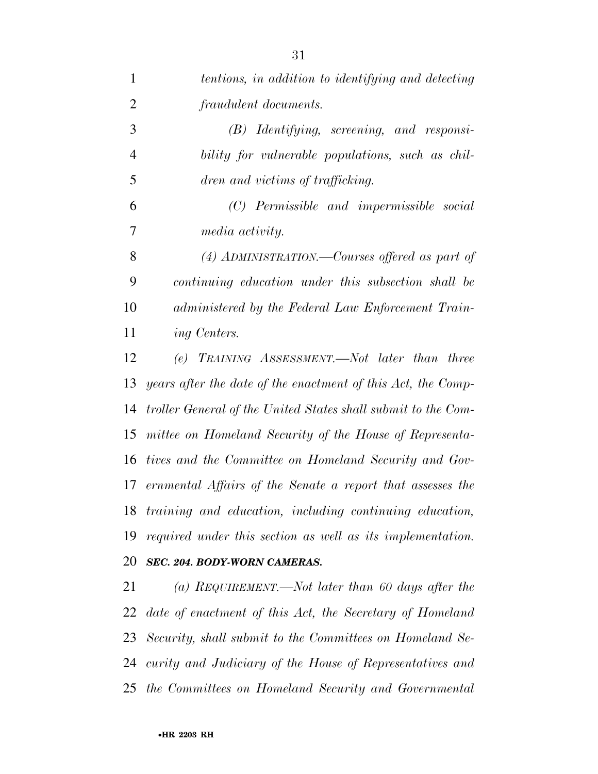| $\overline{2}$ | fraudulent documents.                                         |
|----------------|---------------------------------------------------------------|
| 3              | $(B)$ Identifying, screening, and responsi-                   |
| $\overline{4}$ | bility for vulnerable populations, such as chil-              |
| 5              | dren and victims of trafficking.                              |
| 6              | (C) Permissible and impermissible social                      |
| 7              | <i>media activity.</i>                                        |
| 8              | $(4)$ ADMINISTRATION.—Courses offered as part of              |
| 9              | continuing education under this subsection shall be           |
| 10             | administered by the Federal Law Enforcement Train-            |
| 11             | ing Centers.                                                  |
| 12             | (e) TRAINING ASSESSMENT.—Not later than three                 |
| 13             | years after the date of the enactment of this Act, the Comp-  |
| 14             | troller General of the United States shall submit to the Com- |
| 15             | mittee on Homeland Security of the House of Representa-       |
| 16             | tives and the Committee on Homeland Security and Gov-         |
| 17             | ernmental Affairs of the Senate a report that assesses the    |
| 18             | training and education, including continuing education,       |
|                | 19 required under this section as well as its implementation. |
| 20             | SEC. 204. BODY-WORN CAMERAS.                                  |
| 21             | (a) REQUIREMENT.—Not later than 60 days after the             |
|                | 22 date of enactment of this Act, the Secretary of Homeland   |
|                | 23 Security, shall submit to the Committees on Homeland Se-   |
|                | 24 curity and Judiciary of the House of Representatives and   |
|                | 25 the Committees on Homeland Security and Governmental       |
|                |                                                               |

*tentions, in addition to identifying and detecting*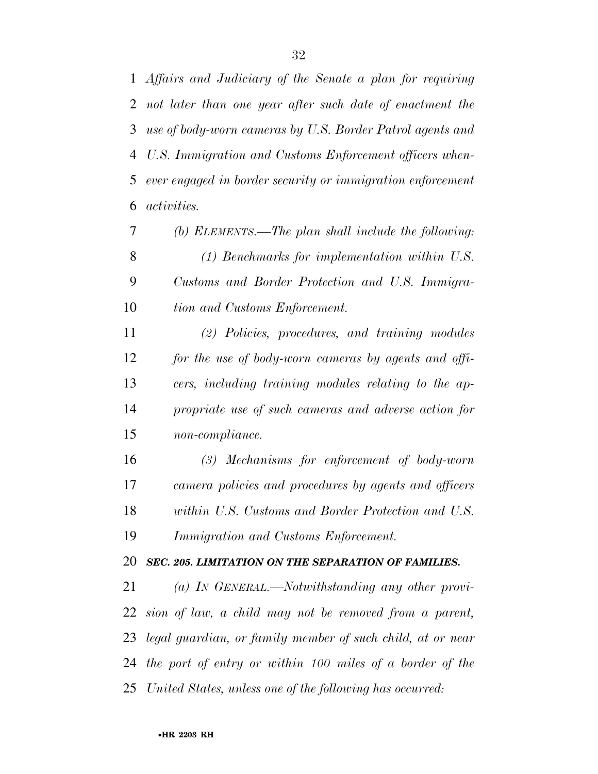*Affairs and Judiciary of the Senate a plan for requiring not later than one year after such date of enactment the use of body-worn cameras by U.S. Border Patrol agents and U.S. Immigration and Customs Enforcement officers when- ever engaged in border security or immigration enforcement activities.* 

 *(b) ELEMENTS.—The plan shall include the following: (1) Benchmarks for implementation within U.S. Customs and Border Protection and U.S. Immigra-tion and Customs Enforcement.* 

 *(2) Policies, procedures, and training modules for the use of body-worn cameras by agents and offi- cers, including training modules relating to the ap- propriate use of such cameras and adverse action for non-compliance.* 

 *(3) Mechanisms for enforcement of body-worn camera policies and procedures by agents and officers within U.S. Customs and Border Protection and U.S. Immigration and Customs Enforcement.* 

#### *SEC. 205. LIMITATION ON THE SEPARATION OF FAMILIES.*

 *(a) IN GENERAL.—Notwithstanding any other provi- sion of law, a child may not be removed from a parent, legal guardian, or family member of such child, at or near the port of entry or within 100 miles of a border of the United States, unless one of the following has occurred:*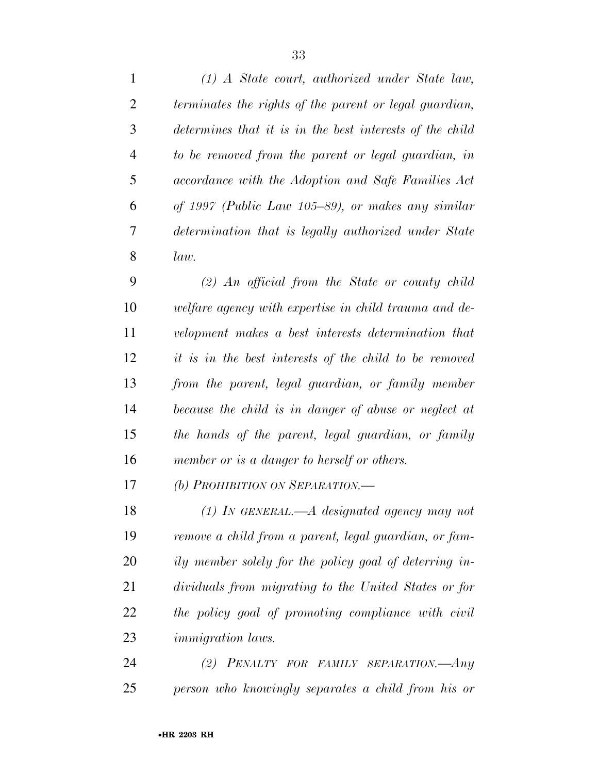| $\mathbf{1}$   | $(1)$ A State court, authorized under State law,         |
|----------------|----------------------------------------------------------|
| 2              | terminates the rights of the parent or legal guardian,   |
| 3              | determines that it is in the best interests of the child |
| $\overline{4}$ | to be removed from the parent or legal guardian, in      |
| 5              | accordance with the Adoption and Safe Families Act       |
| 6              | of 1997 (Public Law 105–89), or makes any similar        |
| 7              | determination that is legally authorized under State     |
| 8              | law.                                                     |
| 9              | $(2)$ An official from the State or county child         |
| 10             | welfare agency with expertise in child trauma and de-    |
| 11             | velopment makes a best interests determination that      |
| 12             | it is in the best interests of the child to be removed   |
| 13             | from the parent, legal guardian, or family member        |
| 14             | because the child is in danger of abuse or neglect at    |
| 15             | the hands of the parent, legal guardian, or family       |
| 16             | member or is a danger to herself or others.              |
| 17             | (b) PROHIBITION ON SEPARATION.-                          |
| 18             | $(1)$ IN GENERAL.—A designated agency may not            |
| 19             | remove a child from a parent, legal guardian, or fam-    |
| 20             | ily member solely for the policy goal of deterring in-   |
| 21             | dividuals from migrating to the United States or for     |
| 22             | the policy goal of promoting compliance with civil       |
| 23             | <i>immigration laws.</i>                                 |
| 24             | (2)<br>PENALTY FOR FAMILY SEPARATION.-Any                |
| 25             | person who knowingly separates a child from his or       |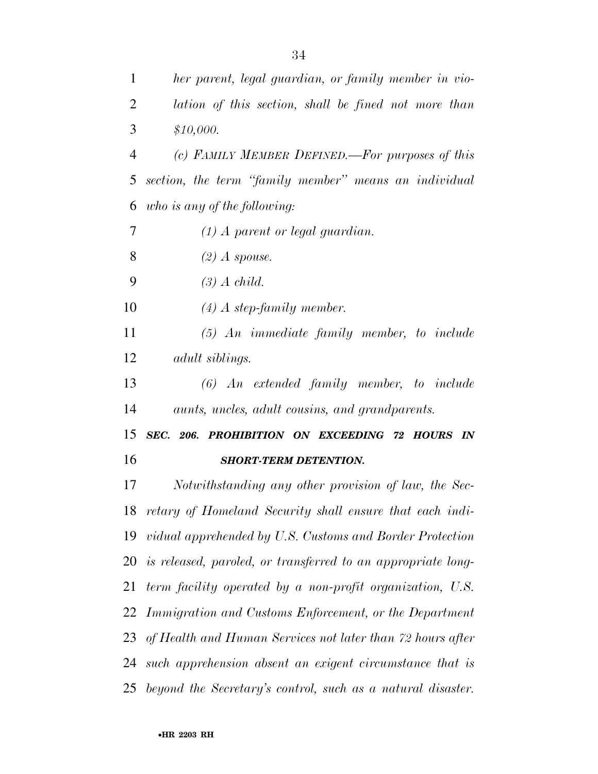| $\mathbf{1}$   | her parent, legal guardian, or family member in vio-            |
|----------------|-----------------------------------------------------------------|
| $\overline{2}$ | lation of this section, shall be fined not more than            |
| 3              | \$10,000.                                                       |
| 4              | (c) FAMILY MEMBER DEFINED.—For purposes of this                 |
| 5              | section, the term "family member" means an individual           |
| 6              | who is any of the following:                                    |
| 7              | $(1)$ A parent or legal guardian.                               |
| 8              | $(2)$ A spouse.                                                 |
| 9              | $(3)$ A child.                                                  |
| 10             | $(4)$ A step-family member.                                     |
| 11             | $(5)$ An immediate family member, to include                    |
| 12             | <i>adult siblings.</i>                                          |
| 13             | $(6)$ An extended family member, to include                     |
| 14             | aunts, uncles, adult cousins, and grandparents.                 |
| 15             | SEC. 206. PROHIBITION ON EXCEEDING 72 HOURS IN                  |
| 16             | <b>SHORT-TERM DETENTION.</b>                                    |
| 17             | Notwithstanding any other provision of law, the Sec-            |
|                | 18 retary of Homeland Security shall ensure that each indi-     |
|                | 19 vidual apprehended by U.S. Customs and Border Protection     |
|                | 20 is released, paroled, or transferred to an appropriate long- |
| 21             | term facility operated by a non-profit organization, U.S.       |
| 22             | Immigration and Customs Enforcement, or the Department          |
|                | 23 of Health and Human Services not later than 72 hours after   |
| 24             | such apprehension absent an exigent circumstance that is        |
| 25             | beyond the Secretary's control, such as a natural disaster.     |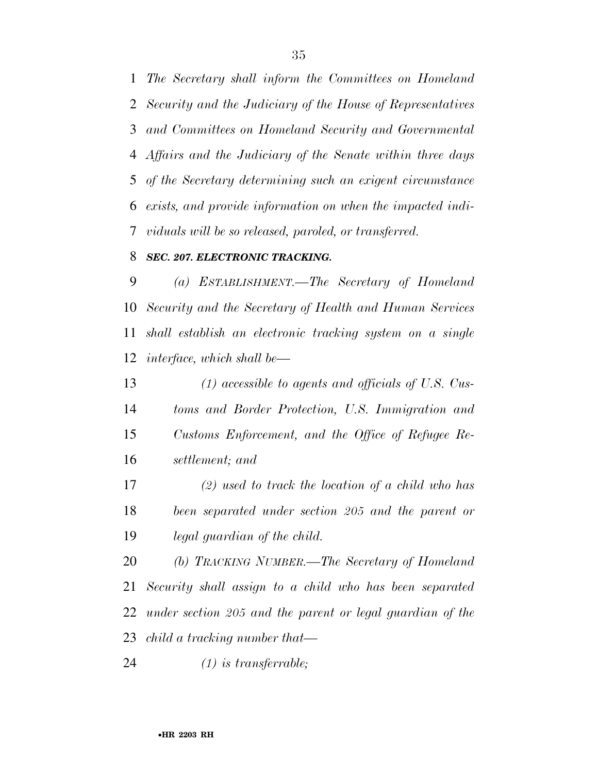*The Secretary shall inform the Committees on Homeland Security and the Judiciary of the House of Representatives and Committees on Homeland Security and Governmental Affairs and the Judiciary of the Senate within three days of the Secretary determining such an exigent circumstance exists, and provide information on when the impacted indi-viduals will be so released, paroled, or transferred.* 

#### *SEC. 207. ELECTRONIC TRACKING.*

 *(a) ESTABLISHMENT.—The Secretary of Homeland Security and the Secretary of Health and Human Services shall establish an electronic tracking system on a single interface, which shall be—* 

 *(1) accessible to agents and officials of U.S. Cus- toms and Border Protection, U.S. Immigration and Customs Enforcement, and the Office of Refugee Re-settlement; and* 

 *(2) used to track the location of a child who has been separated under section 205 and the parent or legal guardian of the child.* 

 *(b) TRACKING NUMBER.—The Secretary of Homeland Security shall assign to a child who has been separated under section 205 and the parent or legal guardian of the child a tracking number that—* 

*(1) is transferrable;*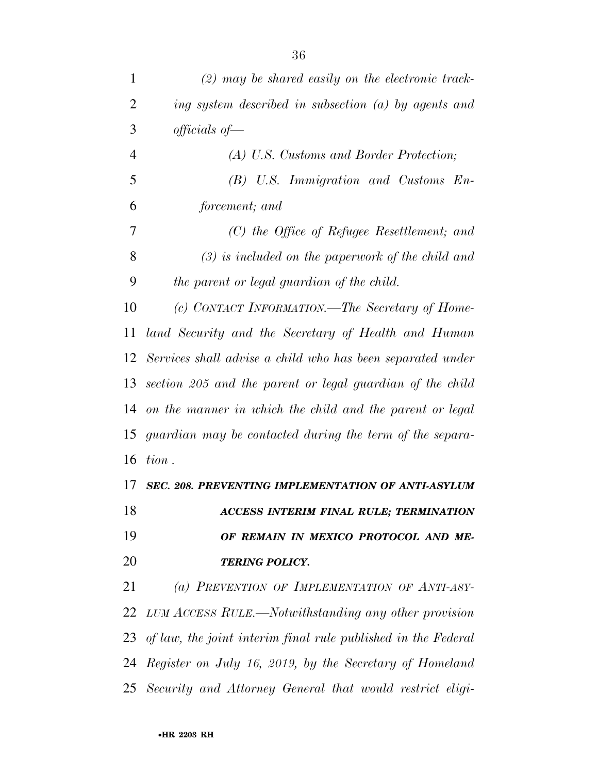| 1              | $(2)$ may be shared easily on the electronic track-              |
|----------------|------------------------------------------------------------------|
| 2              | ing system described in subsection $(a)$ by agents and           |
| 3              | $\it{officials}$ of —                                            |
| $\overline{4}$ | (A) U.S. Customs and Border Protection;                          |
| 5              | $(B)$ U.S. Immigration and Customs $En-$                         |
| 6              | forcement; and                                                   |
| 7              | $(C)$ the Office of Refugee Resettlement; and                    |
| 8              | $(3)$ is included on the paperwork of the child and              |
| 9              | the parent or legal guardian of the child.                       |
| 10             | (c) CONTACT INFORMATION.—The Secretary of Home-                  |
| 11             | land Security and the Secretary of Health and Human              |
|                | 12 Services shall advise a child who has been separated under    |
| 13             | section 205 and the parent or legal guardian of the child        |
| 14             | on the manner in which the child and the parent or legal         |
|                | 15 guardian may be contacted during the term of the separa-      |
| 16             | tion.                                                            |
| 17             | SEC. 208. PREVENTING IMPLEMENTATION OF ANTI-ASYLUM               |
| 18             | ACCESS INTERIM FINAL RULE; TERMINATION                           |
| 19             | OF REMAIN IN MEXICO PROTOCOL AND ME-                             |
| 20             | <b>TERING POLICY.</b>                                            |
| 21             | (a) PREVENTION OF IMPLEMENTATION OF ANTI-ASY-                    |
| 22             | LUM ACCESS RULE.—Notwithstanding any other provision             |
|                | 23 of law, the joint interim final rule published in the Federal |
| 24             | Register on July 16, 2019, by the Secretary of Homeland          |
|                | 25 Security and Attorney General that would restrict eligi-      |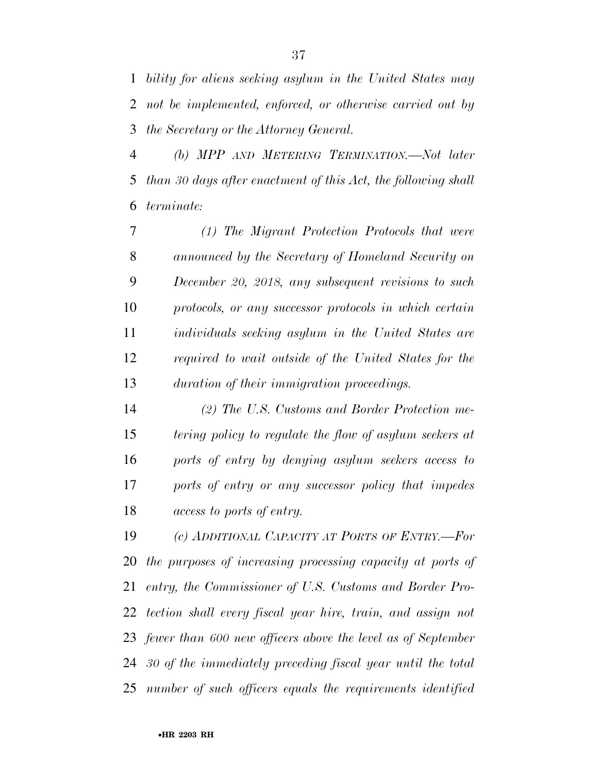*bility for aliens seeking asylum in the United States may not be implemented, enforced, or otherwise carried out by the Secretary or the Attorney General.* 

 *(b) MPP AND METERING TERMINATION.—Not later than 30 days after enactment of this Act, the following shall terminate:* 

 *(1) The Migrant Protection Protocols that were announced by the Secretary of Homeland Security on December 20, 2018, any subsequent revisions to such protocols, or any successor protocols in which certain individuals seeking asylum in the United States are required to wait outside of the United States for the duration of their immigration proceedings.* 

 *(2) The U.S. Customs and Border Protection me- tering policy to regulate the flow of asylum seekers at ports of entry by denying asylum seekers access to ports of entry or any successor policy that impedes access to ports of entry.* 

 *(c) ADDITIONAL CAPACITY AT PORTS OF ENTRY.—For the purposes of increasing processing capacity at ports of entry, the Commissioner of U.S. Customs and Border Pro- tection shall every fiscal year hire, train, and assign not fewer than 600 new officers above the level as of September 30 of the immediately preceding fiscal year until the total number of such officers equals the requirements identified*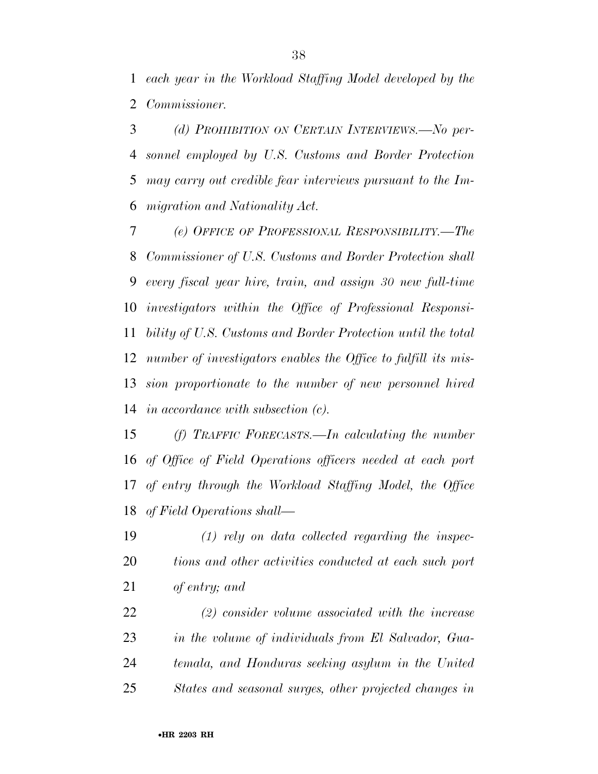*each year in the Workload Staffing Model developed by the Commissioner.* 

 *(d) PROHIBITION ON CERTAIN INTERVIEWS.—No per- sonnel employed by U.S. Customs and Border Protection may carry out credible fear interviews pursuant to the Im-migration and Nationality Act.* 

 *(e) OFFICE OF PROFESSIONAL RESPONSIBILITY.—The Commissioner of U.S. Customs and Border Protection shall every fiscal year hire, train, and assign 30 new full-time investigators within the Office of Professional Responsi- bility of U.S. Customs and Border Protection until the total number of investigators enables the Office to fulfill its mis- sion proportionate to the number of new personnel hired in accordance with subsection (c).* 

 *(f) TRAFFIC FORECASTS.—In calculating the number of Office of Field Operations officers needed at each port of entry through the Workload Staffing Model, the Office of Field Operations shall—* 

 *(1) rely on data collected regarding the inspec- tions and other activities conducted at each such port of entry; and* 

 *(2) consider volume associated with the increase in the volume of individuals from El Salvador, Gua- temala, and Honduras seeking asylum in the United States and seasonal surges, other projected changes in*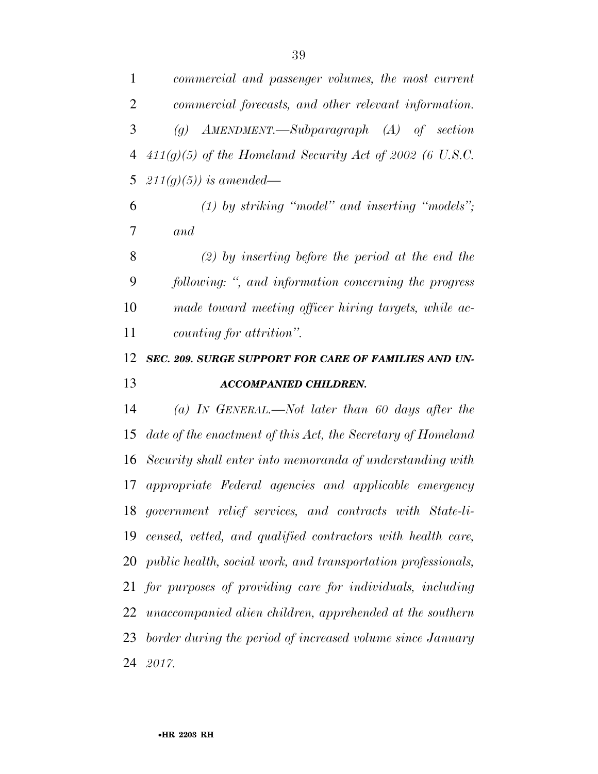| 1              | commercial and passenger volumes, the most current                         |
|----------------|----------------------------------------------------------------------------|
| $\overline{2}$ | commercial forecasts, and other relevant information.                      |
| 3              | $AMENDMENT. \text{—} Subparagraph \quad (A) \quad of \quad section$<br>(q) |
| $\overline{4}$ | $411(g)(5)$ of the Homeland Security Act of 2002 (6 U.S.C.                 |
| 5              | $211(g)(5)$ ) is amended—                                                  |
| 6              | $(1)$ by striking "model" and inserting "models";                          |
| 7              | and                                                                        |
| 8              | $(2)$ by inserting before the period at the end the                        |
| 9              | following: ", and information concerning the progress                      |
| 10             | made toward meeting officer hiring targets, while ac-                      |
| 11             | counting for attrition".                                                   |
| 12             | SEC. 209. SURGE SUPPORT FOR CARE OF FAMILIES AND UN-                       |
| 13             | <b>ACCOMPANIED CHILDREN.</b>                                               |
| 14             | (a) In GENERAL.—Not later than 60 days after the                           |
| 15             | date of the enactment of this Act, the Secretary of Homeland               |
| 16             | Security shall enter into memoranda of understanding with                  |
|                |                                                                            |

 *date of the enactment of this Act, the Secretary of Homeland Security shall enter into memoranda of understanding with appropriate Federal agencies and applicable emergency government relief services, and contracts with State-li- censed, vetted, and qualified contractors with health care, public health, social work, and transportation professionals, for purposes of providing care for individuals, including unaccompanied alien children, apprehended at the southern border during the period of increased volume since January 2017.*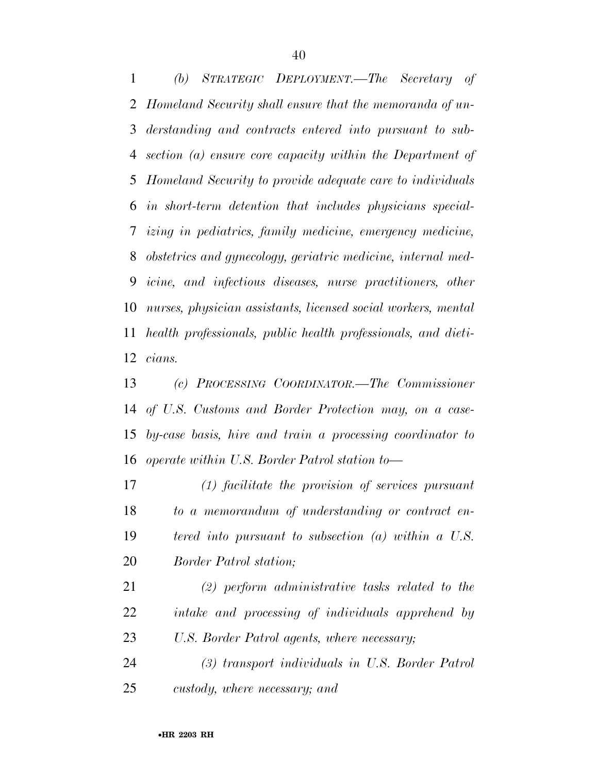*(b) STRATEGIC DEPLOYMENT.—The Secretary of Homeland Security shall ensure that the memoranda of un- derstanding and contracts entered into pursuant to sub- section (a) ensure core capacity within the Department of Homeland Security to provide adequate care to individuals in short-term detention that includes physicians special- izing in pediatrics, family medicine, emergency medicine, obstetrics and gynecology, geriatric medicine, internal med- icine, and infectious diseases, nurse practitioners, other nurses, physician assistants, licensed social workers, mental health professionals, public health professionals, and dieti-cians.* 

 *(c) PROCESSING COORDINATOR.—The Commissioner of U.S. Customs and Border Protection may, on a case- by-case basis, hire and train a processing coordinator to operate within U.S. Border Patrol station to—* 

 *(1) facilitate the provision of services pursuant to a memorandum of understanding or contract en- tered into pursuant to subsection (a) within a U.S. Border Patrol station;* 

 *(2) perform administrative tasks related to the intake and processing of individuals apprehend by U.S. Border Patrol agents, where necessary;* 

 *(3) transport individuals in U.S. Border Patrol custody, where necessary; and*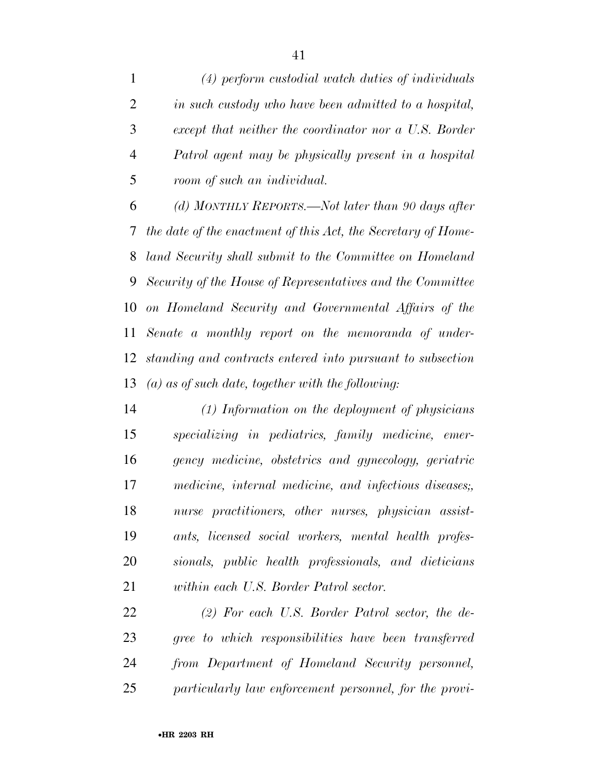*(4) perform custodial watch duties of individuals in such custody who have been admitted to a hospital, except that neither the coordinator nor a U.S. Border Patrol agent may be physically present in a hospital room of such an individual.* 

 *(d) MONTHLY REPORTS.—Not later than 90 days after the date of the enactment of this Act, the Secretary of Home- land Security shall submit to the Committee on Homeland Security of the House of Representatives and the Committee on Homeland Security and Governmental Affairs of the Senate a monthly report on the memoranda of under- standing and contracts entered into pursuant to subsection (a) as of such date, together with the following:* 

 *(1) Information on the deployment of physicians specializing in pediatrics, family medicine, emer- gency medicine, obstetrics and gynecology, geriatric medicine, internal medicine, and infectious diseases;, nurse practitioners, other nurses, physician assist- ants, licensed social workers, mental health profes- sionals, public health professionals, and dieticians within each U.S. Border Patrol sector.* 

 *(2) For each U.S. Border Patrol sector, the de- gree to which responsibilities have been transferred from Department of Homeland Security personnel, particularly law enforcement personnel, for the provi-*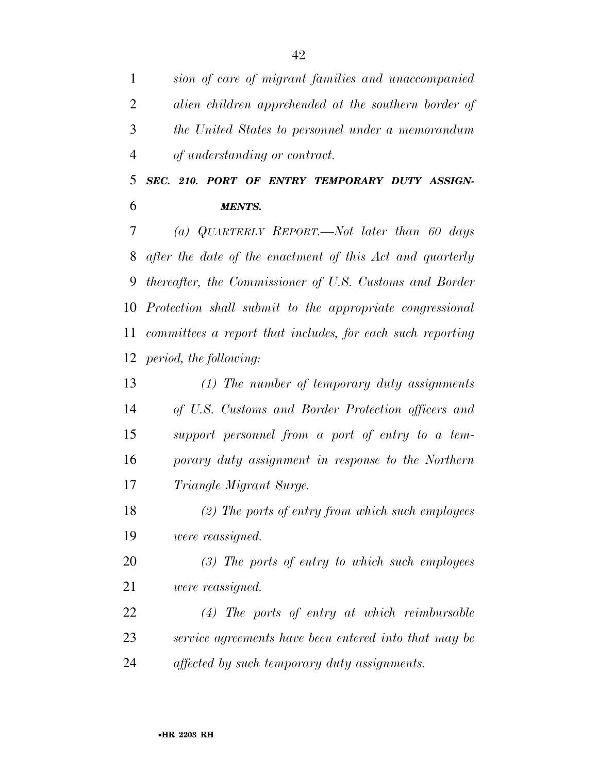*sion of care of migrant families and unaccompanied alien children apprehended at the southern border of the United States to personnel under a memorandum of understanding or contract.* 

 *SEC. 210. PORT OF ENTRY TEMPORARY DUTY ASSIGN-MENTS.* 

 *(a) QUARTERLY REPORT.—Not later than 60 days after the date of the enactment of this Act and quarterly thereafter, the Commissioner of U.S. Customs and Border Protection shall submit to the appropriate congressional committees a report that includes, for each such reporting period, the following:* 

 *(1) The number of temporary duty assignments of U.S. Customs and Border Protection officers and support personnel from a port of entry to a tem- porary duty assignment in response to the Northern Triangle Migrant Surge.* 

 *(2) The ports of entry from which such employees were reassigned.* 

 *(3) The ports of entry to which such employees were reassigned.* 

 *(4) The ports of entry at which reimbursable service agreements have been entered into that may be affected by such temporary duty assignments.*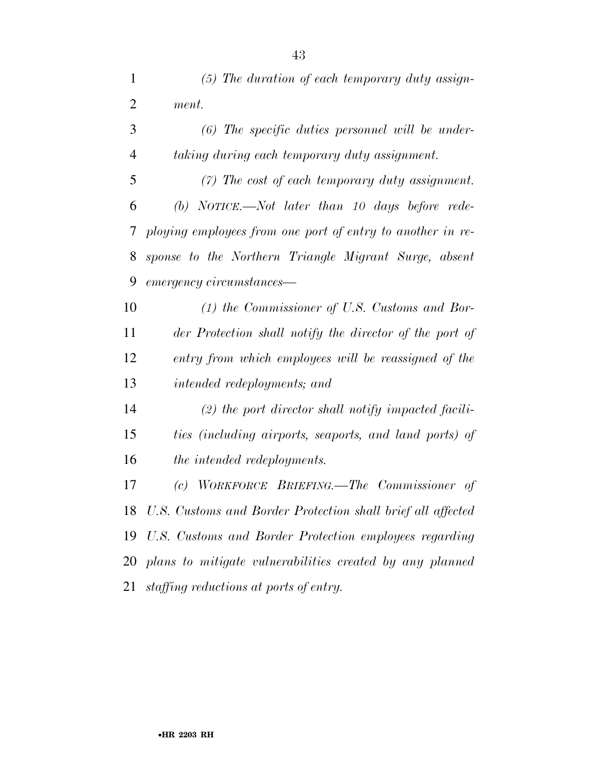*(5) The duration of each temporary duty assign-*

| 2 | ment.                                                        |
|---|--------------------------------------------------------------|
| 3 | $(6)$ The specific duties personnel will be under-           |
| 4 | taking during each temporary duty assignment.                |
| 5 | $(7)$ The cost of each temporary duty assignment.            |
| 6 | (b) NOTICE.—Not later than 10 days before rede-              |
|   | 7 ploying employees from one port of entry to another in re- |
|   | 8 sponse to the Northern Triangle Migrant Surge, absent      |

*emergency circumstances—* 

 *(1) the Commissioner of U.S. Customs and Bor- der Protection shall notify the director of the port of entry from which employees will be reassigned of the intended redeployments; and* 

 *(2) the port director shall notify impacted facili- ties (including airports, seaports, and land ports) of the intended redeployments.* 

 *(c) WORKFORCE BRIEFING.—The Commissioner of U.S. Customs and Border Protection shall brief all affected U.S. Customs and Border Protection employees regarding plans to mitigate vulnerabilities created by any planned staffing reductions at ports of entry.*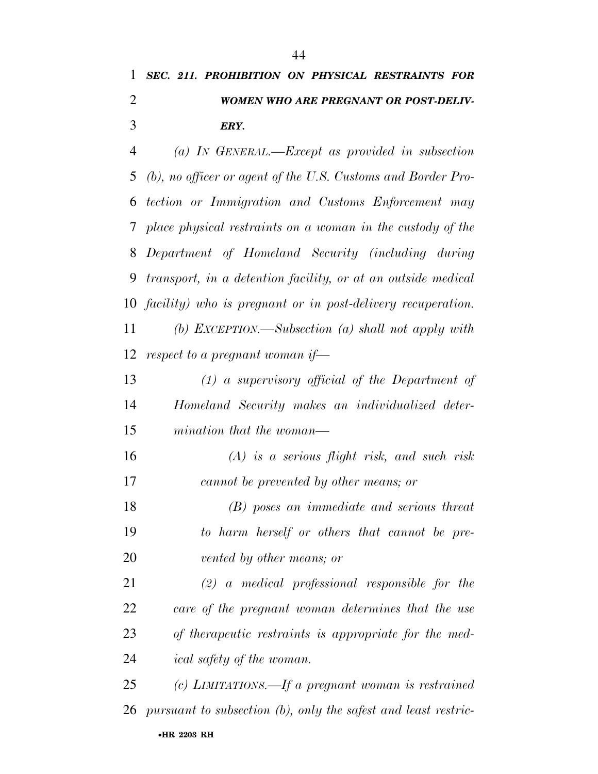### *SEC. 211. PROHIBITION ON PHYSICAL RESTRAINTS FOR WOMEN WHO ARE PREGNANT OR POST-DELIV-ERY.*

 *(a) IN GENERAL.—Except as provided in subsection (b), no officer or agent of the U.S. Customs and Border Pro- tection or Immigration and Customs Enforcement may place physical restraints on a woman in the custody of the Department of Homeland Security (including during transport, in a detention facility, or at an outside medical facility) who is pregnant or in post-delivery recuperation. (b) EXCEPTION.—Subsection (a) shall not apply with respect to a pregnant woman if— (1) a supervisory official of the Department of Homeland Security makes an individualized deter- mination that the woman— (A) is a serious flight risk, and such risk cannot be prevented by other means; or (B) poses an immediate and serious threat* 

 *to harm herself or others that cannot be pre-vented by other means; or* 

 *(2) a medical professional responsible for the care of the pregnant woman determines that the use of therapeutic restraints is appropriate for the med-ical safety of the woman.* 

•**HR 2203 RH** *(c) LIMITATIONS.—If a pregnant woman is restrained pursuant to subsection (b), only the safest and least restric-*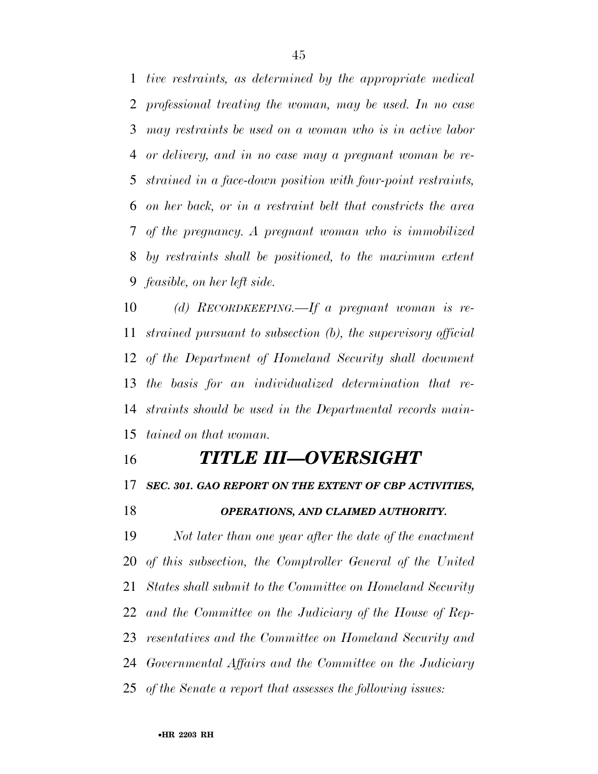*tive restraints, as determined by the appropriate medical professional treating the woman, may be used. In no case may restraints be used on a woman who is in active labor or delivery, and in no case may a pregnant woman be re- strained in a face-down position with four-point restraints, on her back, or in a restraint belt that constricts the area of the pregnancy. A pregnant woman who is immobilized by restraints shall be positioned, to the maximum extent feasible, on her left side.* 

 *(d) RECORDKEEPING.—If a pregnant woman is re- strained pursuant to subsection (b), the supervisory official of the Department of Homeland Security shall document the basis for an individualized determination that re- straints should be used in the Departmental records main-tained on that woman.* 

### *TITLE III—OVERSIGHT*

*SEC. 301. GAO REPORT ON THE EXTENT OF CBP ACTIVITIES,* 

*OPERATIONS, AND CLAIMED AUTHORITY.* 

 *Not later than one year after the date of the enactment of this subsection, the Comptroller General of the United States shall submit to the Committee on Homeland Security and the Committee on the Judiciary of the House of Rep- resentatives and the Committee on Homeland Security and Governmental Affairs and the Committee on the Judiciary of the Senate a report that assesses the following issues:*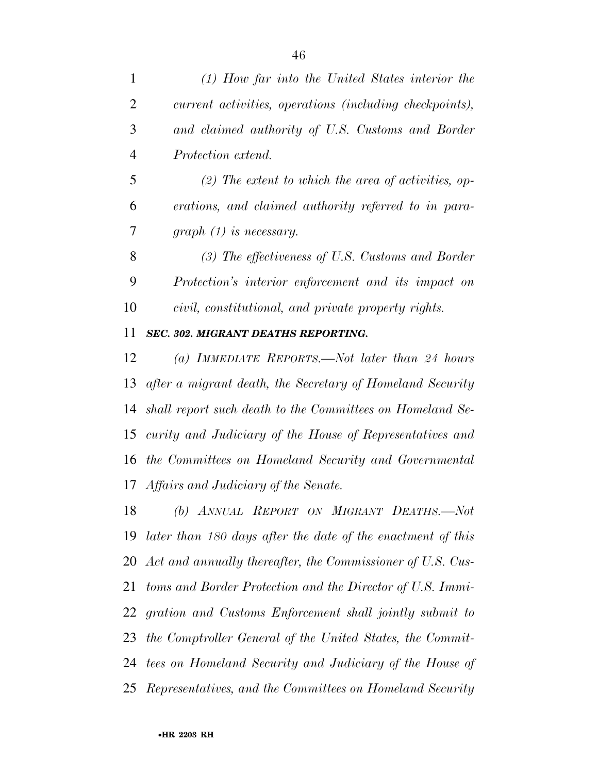| $\mathbf{1}$   | $(1)$ How far into the United States interior the           |
|----------------|-------------------------------------------------------------|
| $\overline{2}$ | current activities, operations (including checkpoints),     |
| 3              | and claimed authority of U.S. Customs and Border            |
| $\overline{4}$ | Protection extend.                                          |
| 5              | $(2)$ The extent to which the area of activities, op-       |
| 6              | erations, and claimed authority referred to in para-        |
| 7              | $graph (1)$ is necessary.                                   |
| 8              | $(3)$ The effectiveness of U.S. Customs and Border          |
| 9              | Protection's interior enforcement and its impact on         |
| 10             | civil, constitutional, and private property rights.         |
| 11             | SEC. 302. MIGRANT DEATHS REPORTING.                         |
| 12             | (a) IMMEDIATE REPORTS.—Not later than 24 hours              |
| 13             | after a migrant death, the Secretary of Homeland Security   |
| 14             | shall report such death to the Committees on Homeland Se-   |
| 15             | curity and Judiciary of the House of Representatives and    |
| 16             | the Committees on Homeland Security and Governmental        |
|                | 17 Affairs and Judiciary of the Senate.                     |
| 18             | (b) ANNUAL REPORT ON MIGRANT DEATHS.-Not                    |
| 19             | later than 180 days after the date of the enactment of this |
| 20             | Act and annually thereafter, the Commissioner of U.S. Cus-  |
| 21             | toms and Border Protection and the Director of U.S. Immi-   |
| 22             | gration and Customs Enforcement shall jointly submit to     |
| 23             | the Comptroller General of the United States, the Commit-   |

- *tees on Homeland Security and Judiciary of the House of*
- *Representatives, and the Committees on Homeland Security*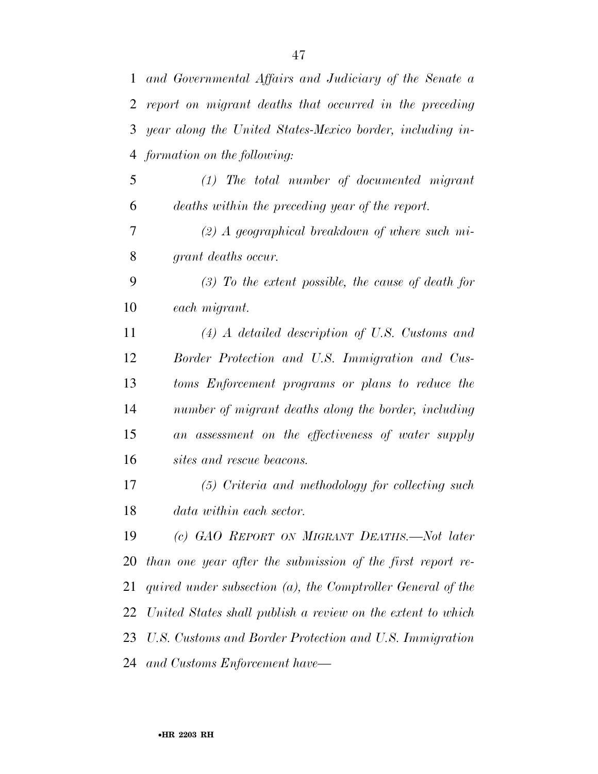*and Governmental Affairs and Judiciary of the Senate a report on migrant deaths that occurred in the preceding year along the United States-Mexico border, including in- formation on the following: (1) The total number of documented migrant deaths within the preceding year of the report. (2) A geographical breakdown of where such mi- grant deaths occur. (3) To the extent possible, the cause of death for each migrant. (4) A detailed description of U.S. Customs and Border Protection and U.S. Immigration and Cus- toms Enforcement programs or plans to reduce the number of migrant deaths along the border, including an assessment on the effectiveness of water supply sites and rescue beacons. (5) Criteria and methodology for collecting such data within each sector. (c) GAO REPORT ON MIGRANT DEATHS.—Not later than one year after the submission of the first report re- quired under subsection (a), the Comptroller General of the United States shall publish a review on the extent to which U.S. Customs and Border Protection and U.S. Immigration and Customs Enforcement have—*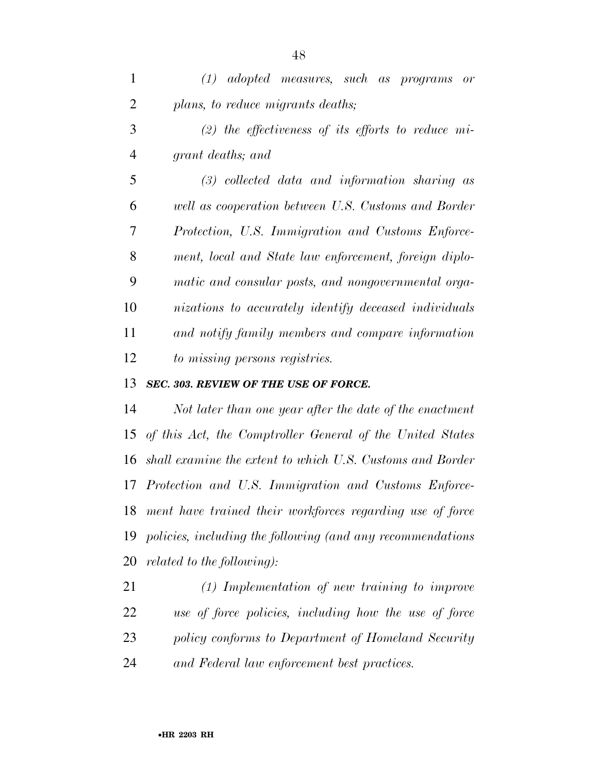*(1) adopted measures, such as programs or plans, to reduce migrants deaths; (2) the effectiveness of its efforts to reduce mi- grant deaths; and (3) collected data and information sharing as well as cooperation between U.S. Customs and Border Protection, U.S. Immigration and Customs Enforce- ment, local and State law enforcement, foreign diplo- matic and consular posts, and nongovernmental orga- nizations to accurately identify deceased individuals and notify family members and compare information to missing persons registries.* 

#### *SEC. 303. REVIEW OF THE USE OF FORCE.*

 *Not later than one year after the date of the enactment of this Act, the Comptroller General of the United States shall examine the extent to which U.S. Customs and Border Protection and U.S. Immigration and Customs Enforce- ment have trained their workforces regarding use of force policies, including the following (and any recommendations related to the following):* 

 *(1) Implementation of new training to improve use of force policies, including how the use of force policy conforms to Department of Homeland Security and Federal law enforcement best practices.*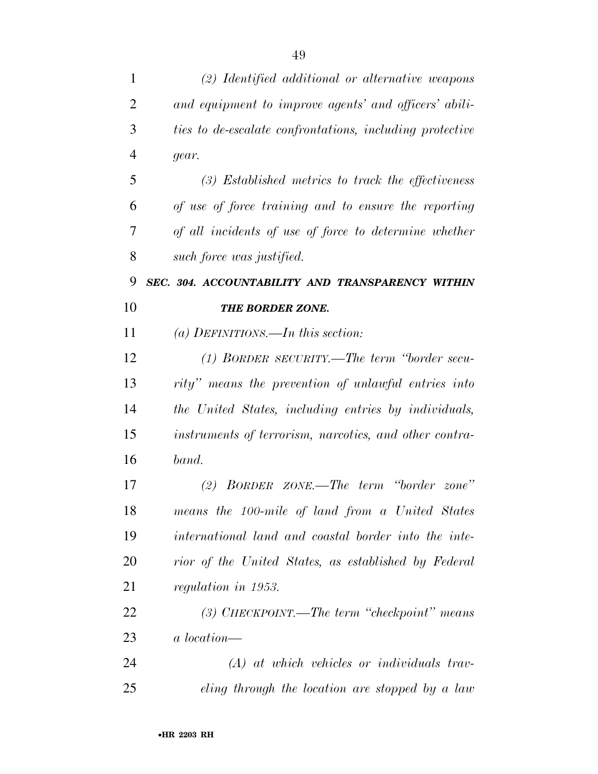| 1              | (2) Identified additional or alternative weapons         |
|----------------|----------------------------------------------------------|
| $\overline{2}$ | and equipment to improve agents' and officers' abili-    |
| 3              | ties to de-escalate confrontations, including protective |
| $\overline{4}$ | gear.                                                    |
| 5              | $(3)$ Established metrics to track the effectiveness     |
| 6              | of use of force training and to ensure the reporting     |
| 7              | of all incidents of use of force to determine whether    |
| 8              | such force was justified.                                |
| 9              | SEC. 304. ACCOUNTABILITY AND TRANSPARENCY WITHIN         |
| 10             | THE BORDER ZONE.                                         |
| 11             | (a) DEFINITIONS.—In this section:                        |
| 12             | (1) BORDER SECURITY.—The term "border secu-              |
| 13             | rity" means the prevention of unlawful entries into      |
| 14             | the United States, including entries by individuals,     |
| 15             | instruments of terrorism, narcotics, and other contra-   |
| 16             | band.                                                    |
| 17             | $(2)$ BORDER ZONE.—The term "border zone"                |
| 18             | means the 100-mile of land from a United States          |
| 19             | international land and coastal border into the inte-     |
| 20             | rior of the United States, as established by Federal     |
| 21             | regulation in 1953.                                      |
| 22             | $(3)$ CHECKPOINT.—The term "checkpoint" means            |
| 23             | a location—                                              |
| 24             | $(A)$ at which vehicles or individuals trav-             |
| 25             | eling through the location are stopped by a law          |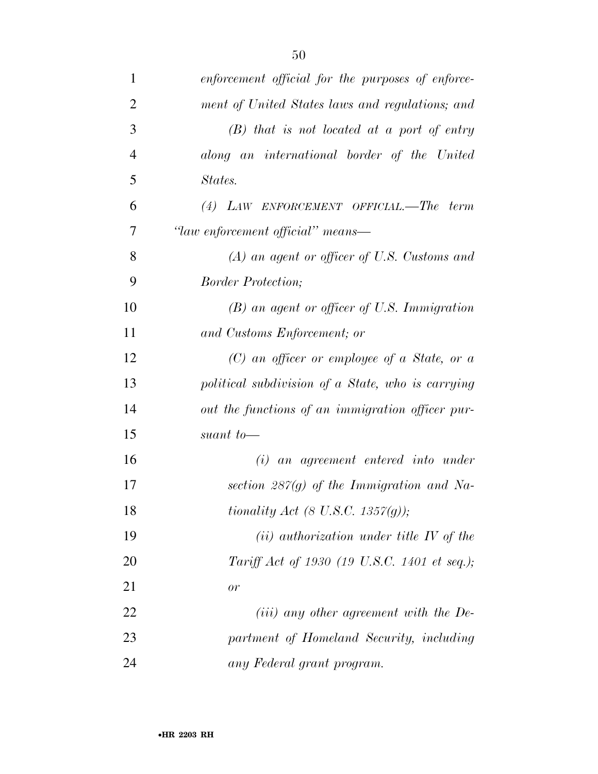| $\mathbf{1}$   | enforcement official for the purposes of enforce- |
|----------------|---------------------------------------------------|
| $\overline{2}$ | ment of United States laws and regulations; and   |
| 3              | $(B)$ that is not located at a port of entry      |
| $\overline{4}$ | along an international border of the United       |
| 5              | States.                                           |
| 6              | $(4)$ LAW ENFORCEMENT OFFICIAL.—The term          |
| 7              | "law enforcement official" means-                 |
| 8              | $(A)$ an agent or officer of U.S. Customs and     |
| 9              | <i>Border Protection;</i>                         |
| 10             | (B) an agent or officer of U.S. Immigration       |
| 11             | and Customs Enforcement; or                       |
| 12             | $(C)$ an officer or employee of a State, or a     |
| 13             | political subdivision of a State, who is carrying |
| 14             | out the functions of an immigration officer pur-  |
| 15             | suant to-                                         |
| 16             | $(i)$ an agreement entered into under             |
| 17             | section $287(q)$ of the Immigration and Na-       |
| 18             | tionality Act $(8 \text{ U.S.C. } 1357(q));$      |
| 19             | $(ii)$ authorization under title IV of the        |
| 20             | Tariff Act of 1930 (19 U.S.C. 1401 et seq.);      |
| 21             | or                                                |
| 22             | $(iii)$ any other agreement with the De-          |
| 23             | partment of Homeland Security, including          |
| 24             | any Federal grant program.                        |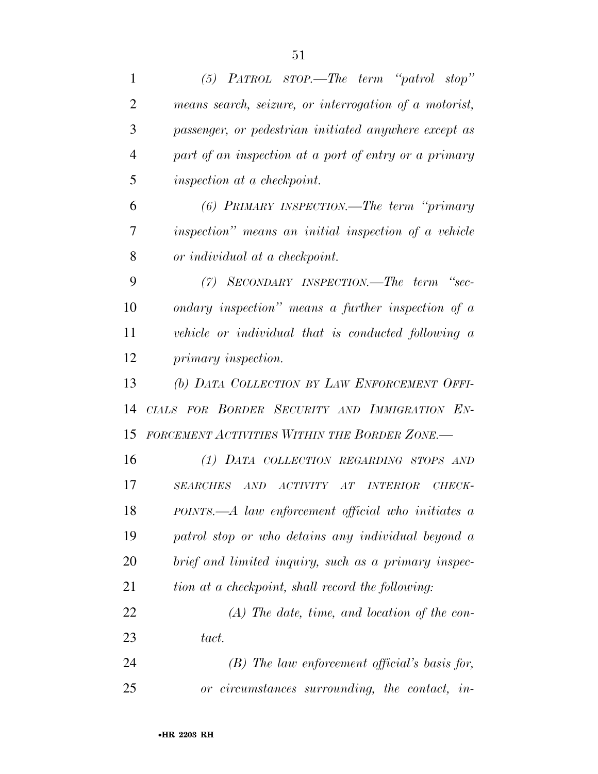| $\mathbf{1}$   | $(5)$ PATROL STOP.—The term "patrol stop"                                 |
|----------------|---------------------------------------------------------------------------|
| $\overline{2}$ | means search, seizure, or interrogation of a motorist,                    |
| 3              | passenger, or pedestrian initiated anywhere except as                     |
| $\overline{4}$ | part of an inspection at a port of entry or a primary                     |
| 5              | inspection at a checkpoint.                                               |
| 6              | (6) PRIMARY INSPECTION.—The term "primary                                 |
| 7              | inspection" means an initial inspection of a vehicle                      |
| 8              | or individual at a checkpoint.                                            |
| 9              | (7) SECONDARY INSPECTION.—The term "sec-                                  |
| 10             | ondary inspection" means a further inspection of $a$                      |
| 11             | vehicle or individual that is conducted following a                       |
| 12             | primary inspection.                                                       |
| 13             | (b) DATA COLLECTION BY LAW ENFORCEMENT OFFI-                              |
| 14             | CIALS FOR BORDER SECURITY AND IMMIGRATION EN-                             |
| 15             | FORCEMENT ACTIVITIES WITHIN THE BORDER ZONE.-                             |
| 16             | (1) DATA COLLECTION REGARDING STOPS AND                                   |
| 17             | SEARCHES AND<br><i>ACTIVITY</i><br>AT<br><i><b>INTERIOR</b></i><br>CHECK- |
| 18             | POINTS.—A law enforcement official who initiates a                        |
| 19             | patrol stop or who detains any individual beyond a                        |
| 20             | brief and limited inquiry, such as a primary inspec-                      |
| 21             | tion at a checkpoint, shall record the following:                         |
| 22             | $(A)$ The date, time, and location of the con-                            |
| 23             | tact.                                                                     |
| 24             | $(B)$ The law enforcement official's basis for,                           |
| 25             | or circumstances surrounding, the contact, in-                            |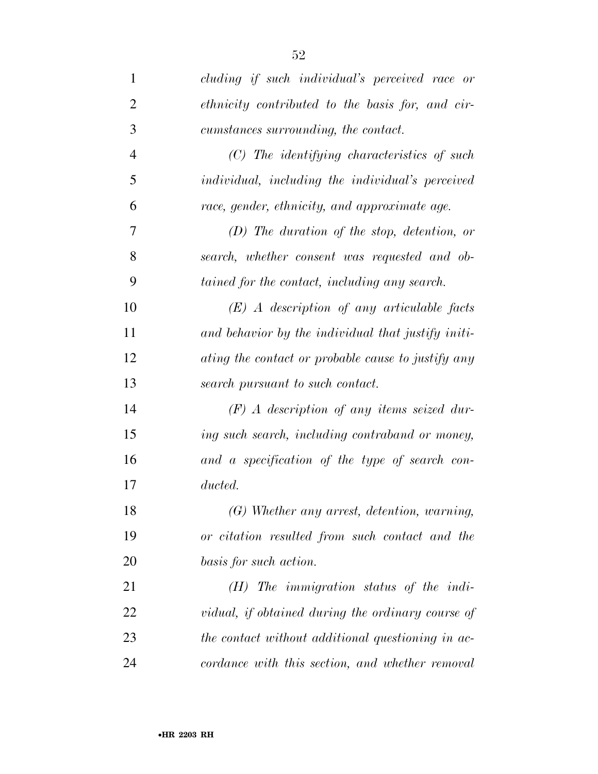| $\mathbf{1}$   | cluding if such individual's perceived race or     |
|----------------|----------------------------------------------------|
| $\overline{2}$ | ethnicity contributed to the basis for, and cir-   |
| 3              | cumstances surrounding, the contact.               |
| $\overline{4}$ | $(C)$ The identifying characteristics of such      |
| 5              | individual, including the individual's perceived   |
| 6              | race, gender, ethnicity, and approximate age.      |
| 7              | $(D)$ The duration of the stop, detention, or      |
| 8              | search, whether consent was requested and ob-      |
| 9              | tained for the contact, including any search.      |
| 10             | $(E)$ A description of any articulable facts       |
| 11             | and behavior by the individual that justify initi- |
| 12             | ating the contact or probable cause to justify any |
| 13             | search pursuant to such contact.                   |
| 14             | $(F)$ A description of any items seized dur-       |
| 15             | ing such search, including contraband or money,    |
| 16             | and a specification of the type of search con-     |
| 17             | ducted.                                            |
| 18             | (G) Whether any arrest, detention, warning,        |
| 19             | or citation resulted from such contact and the     |
| 20             | basis for such action.                             |
| 21             | $(H)$ The immigration status of the indi-          |
| 22             | vidual, if obtained during the ordinary course of  |
| 23             | the contact without additional questioning in ac-  |
| 24             | cordance with this section, and whether removal    |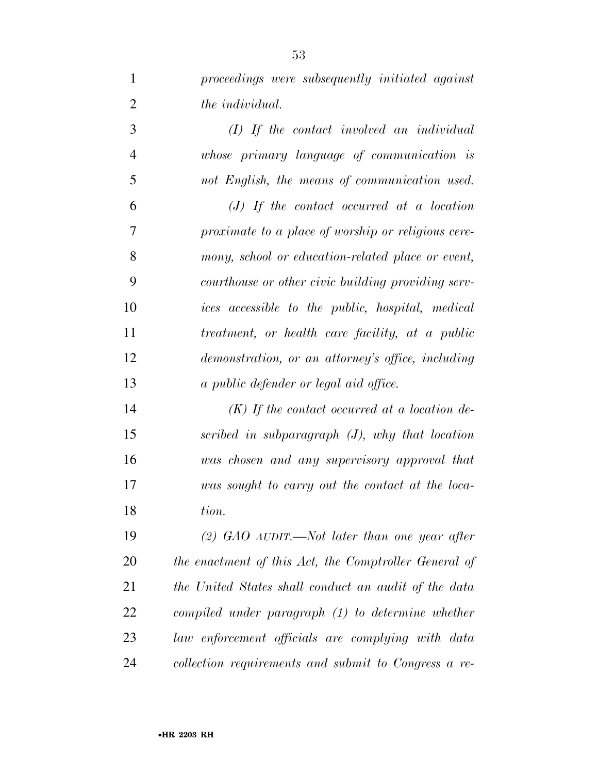*proceedings were subsequently initiated against the individual. (I) If the contact involved an individual whose primary language of communication is not English, the means of communication used. (J) If the contact occurred at a location proximate to a place of worship or religious cere-mony, school or education-related place or event,* 

 *courthouse or other civic building providing serv- ices accessible to the public, hospital, medical treatment, or health care facility, at a public demonstration, or an attorney's office, including a public defender or legal aid office.* 

 *(K) If the contact occurred at a location de- scribed in subparagraph (J), why that location was chosen and any supervisory approval that was sought to carry out the contact at the loca-tion.* 

 *(2) GAO AUDIT.—Not later than one year after the enactment of this Act, the Comptroller General of the United States shall conduct an audit of the data compiled under paragraph (1) to determine whether law enforcement officials are complying with data collection requirements and submit to Congress a re-*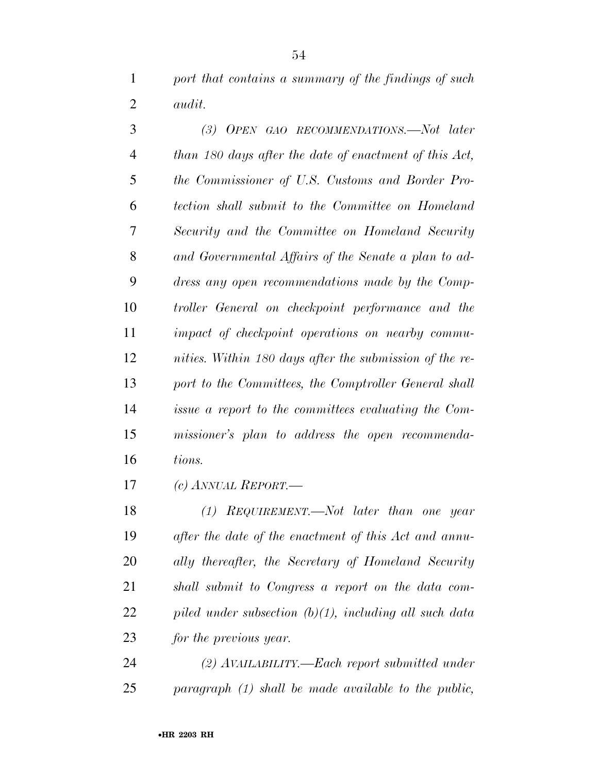*port that contains a summary of the findings of such audit.* 

| 3              | (3) OPEN GAO RECOMMENDATIONS.—Not later                 |
|----------------|---------------------------------------------------------|
| $\overline{4}$ | than 180 days after the date of enactment of this Act,  |
| 5              | the Commissioner of U.S. Customs and Border Pro-        |
| 6              | tection shall submit to the Committee on Homeland       |
| 7              | Security and the Committee on Homeland Security         |
| 8              | and Governmental Affairs of the Senate a plan to ad-    |
| 9              | dress any open recommendations made by the Comp-        |
| 10             | troller General on checkpoint performance and the       |
| 11             | impact of checkpoint operations on nearby commu-        |
| 12             | nities. Within 180 days after the submission of the re- |
| 13             | port to the Committees, the Comptroller General shall   |
| 14             | issue a report to the committees evaluating the Com-    |
| 15             | missioner's plan to address the open recommenda-        |
| 16             | tions.                                                  |

*(c) ANNUAL REPORT.—* 

 *(1) REQUIREMENT.—Not later than one year after the date of the enactment of this Act and annu- ally thereafter, the Secretary of Homeland Security shall submit to Congress a report on the data com- piled under subsection (b)(1), including all such data for the previous year.* 

 *(2) AVAILABILITY.—Each report submitted under paragraph (1) shall be made available to the public,*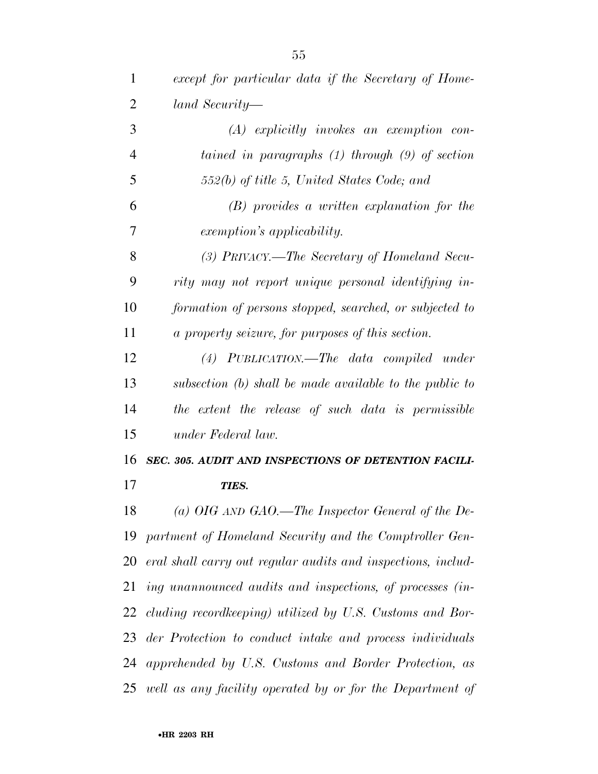| $\mathbf{1}$   | except for particular data if the Secretary of Home-         |
|----------------|--------------------------------------------------------------|
| $\overline{2}$ | land Security—                                               |
| 3              | $(A)$ explicitly invokes an exemption con-                   |
| $\overline{4}$ | tained in paragraphs $(1)$ through $(9)$ of section          |
| 5              | $552(b)$ of title 5, United States Code; and                 |
| 6              | $(B)$ provides a written explanation for the                 |
| 7              | <i>exemption's applicability.</i>                            |
| 8              | (3) PRIVACY.—The Secretary of Homeland Secu-                 |
| 9              | rity may not report unique personal identifying in-          |
| 10             | formation of persons stopped, searched, or subjected to      |
| 11             | a property seizure, for purposes of this section.            |
| 12             | (4) PUBLICATION.—The data compiled under                     |
| 13             | subsection (b) shall be made available to the public to      |
| 14             | the extent the release of such data is permissible           |
| 15             | under Federal law.                                           |
| 16             | SEC. 305. AUDIT AND INSPECTIONS OF DETENTION FACILI-         |
| 17             | TIES.                                                        |
| 18             | (a) OIG AND GAO.—The Inspector General of the De-            |
| 19             | partment of Homeland Security and the Comptroller Gen-       |
| 20             | eral shall carry out regular audits and inspections, includ- |
|                | 21 ing unannounced audits and inspections, of processes (in- |
| 22             | cluding record keeping) utilized by U.S. Customs and Bor-    |
| 23             | der Protection to conduct intake and process individuals     |
|                | 24 apprehended by U.S. Customs and Border Protection, as     |
|                | 25 well as any facility operated by or for the Department of |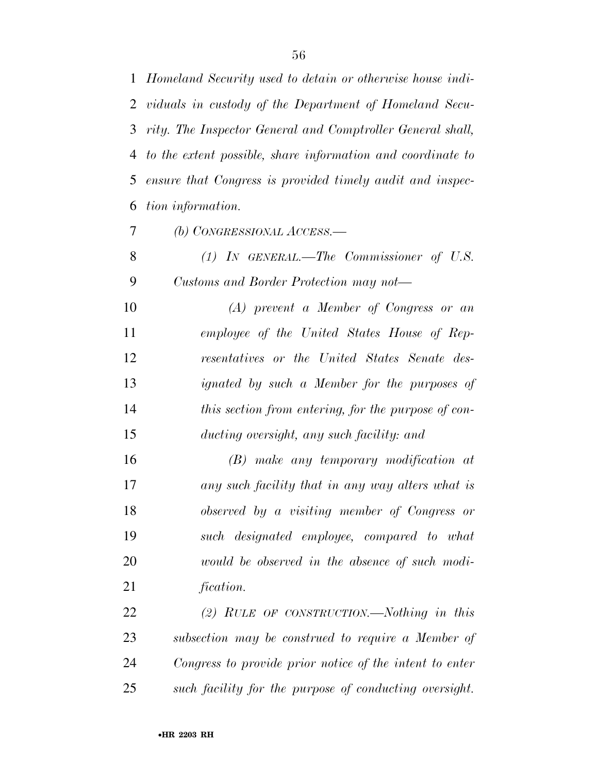*Homeland Security used to detain or otherwise house indi- viduals in custody of the Department of Homeland Secu- rity. The Inspector General and Comptroller General shall, to the extent possible, share information and coordinate to ensure that Congress is provided timely audit and inspec-tion information.* 

*(b) CONGRESSIONAL ACCESS.—* 

 *(1) IN GENERAL.—The Commissioner of U.S. Customs and Border Protection may not—* 

 *(A) prevent a Member of Congress or an employee of the United States House of Rep- resentatives or the United States Senate des- ignated by such a Member for the purposes of this section from entering, for the purpose of con-ducting oversight, any such facility: and* 

 *(B) make any temporary modification at any such facility that in any way alters what is observed by a visiting member of Congress or such designated employee, compared to what would be observed in the absence of such modi-fication.* 

 *(2) RULE OF CONSTRUCTION.—Nothing in this subsection may be construed to require a Member of Congress to provide prior notice of the intent to enter such facility for the purpose of conducting oversight.*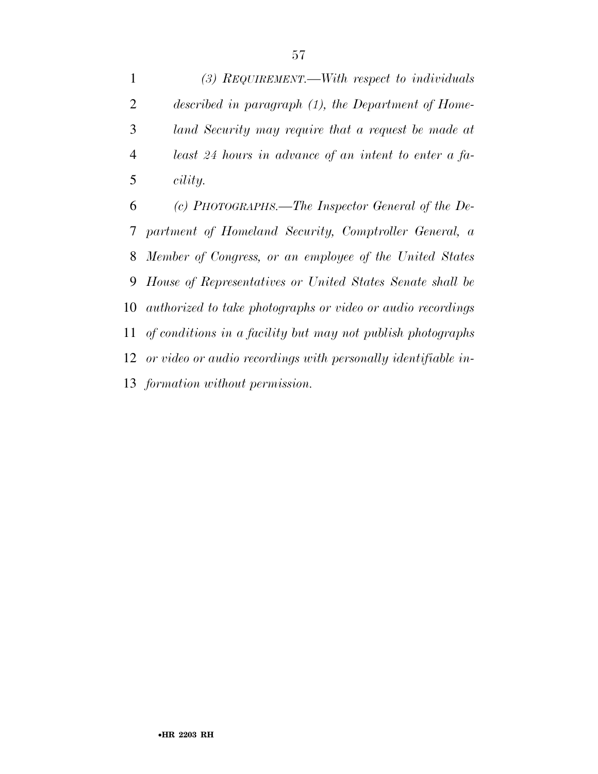*(3) REQUIREMENT.—With respect to individuals described in paragraph (1), the Department of Home- land Security may require that a request be made at least 24 hours in advance of an intent to enter a fa-cility.* 

 *(c) PHOTOGRAPHS.—The Inspector General of the De- partment of Homeland Security, Comptroller General, a Member of Congress, or an employee of the United States House of Representatives or United States Senate shall be authorized to take photographs or video or audio recordings of conditions in a facility but may not publish photographs or video or audio recordings with personally identifiable in-formation without permission.*